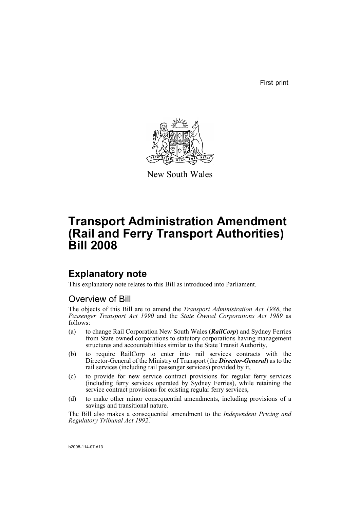First print



New South Wales

# **Transport Administration Amendment (Rail and Ferry Transport Authorities) Bill 2008**

# **Explanatory note**

This explanatory note relates to this Bill as introduced into Parliament.

# Overview of Bill

The objects of this Bill are to amend the *Transport Administration Act 1988*, the *Passenger Transport Act 1990* and the *State Owned Corporations Act 1989* as follows:

- (a) to change Rail Corporation New South Wales (*RailCorp*) and Sydney Ferries from State owned corporations to statutory corporations having management structures and accountabilities similar to the State Transit Authority,
- (b) to require RailCorp to enter into rail services contracts with the Director-General of the Ministry of Transport (the *Director-General*) as to the rail services (including rail passenger services) provided by it,
- (c) to provide for new service contract provisions for regular ferry services (including ferry services operated by Sydney Ferries), while retaining the service contract provisions for existing regular ferry services,
- (d) to make other minor consequential amendments, including provisions of a savings and transitional nature.

The Bill also makes a consequential amendment to the *Independent Pricing and Regulatory Tribunal Act 1992*.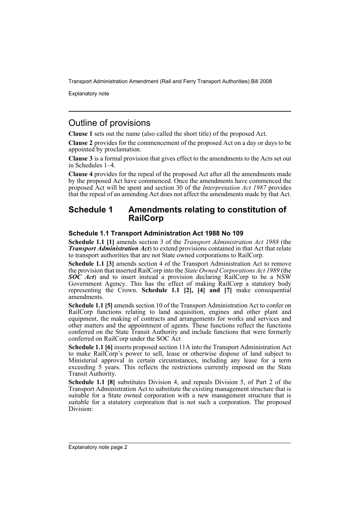Explanatory note

# Outline of provisions

**Clause 1** sets out the name (also called the short title) of the proposed Act.

**Clause 2** provides for the commencement of the proposed Act on a day or days to be appointed by proclamation.

**Clause 3** is a formal provision that gives effect to the amendments to the Acts set out in Schedules 1–4.

**Clause 4** provides for the repeal of the proposed Act after all the amendments made by the proposed Act have commenced. Once the amendments have commenced the proposed Act will be spent and section 30 of the *Interpretation Act 1987* provides that the repeal of an amending Act does not affect the amendments made by that Act.

## **Schedule 1 Amendments relating to constitution of RailCorp**

### **Schedule 1.1 Transport Administration Act 1988 No 109**

**Schedule 1.1 [1]** amends section 3 of the *Transport Administration Act 1988* (the *Transport Administration Act*) to extend provisions contained in that Act that relate to transport authorities that are not State owned corporations to RailCorp.

**Schedule 1.1 [3]** amends section 4 of the Transport Administration Act to remove the provision that inserted RailCorp into the *State Owned Corporations Act 1989* (the *SOC Act*) and to insert instead a provision declaring RailCorp to be a NSW Government Agency. This has the effect of making RailCorp a statutory body representing the Crown. **Schedule 1.1 [2], [4] and [7]** make consequential amendments.

**Schedule 1.1 [5]** amends section 10 of the Transport Administration Act to confer on RailCorp functions relating to land acquisition, engines and other plant and equipment, the making of contracts and arrangements for works and services and other matters and the appointment of agents. These functions reflect the functions conferred on the State Transit Authority and include functions that were formerly conferred on RailCorp under the SOC Act

**Schedule 1.1 [6]** inserts proposed section 11A into the Transport Administration Act to make RailCorp's power to sell, lease or otherwise dispose of land subject to Ministerial approval in certain circumstances, including any lease for a term exceeding 5 years. This reflects the restrictions currently imposed on the State Transit Authority.

**Schedule 1.1 [8]** substitutes Division 4, and repeals Division 5, of Part 2 of the Transport Administration Act to substitute the existing management structure that is suitable for a State owned corporation with a new management structure that is suitable for a statutory corporation that is not such a corporation. The proposed Division: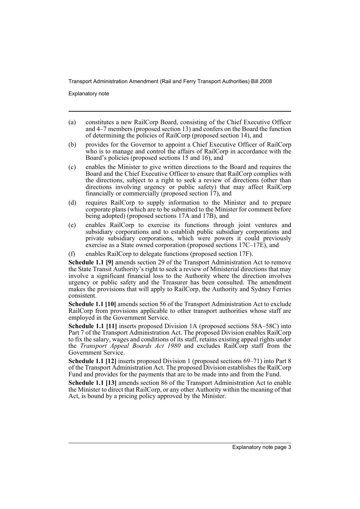Explanatory note

- (a) constitutes a new RailCorp Board, consisting of the Chief Executive Officer and 4–7 members (proposed section 13) and confers on the Board the function of determining the policies of RailCorp (proposed section 14), and
- (b) provides for the Governor to appoint a Chief Executive Officer of RailCorp who is to manage and control the affairs of RailCorp in accordance with the Board's policies (proposed sections 15 and 16), and
- (c) enables the Minister to give written directions to the Board and requires the Board and the Chief Executive Officer to ensure that RailCorp complies with the directions, subject to a right to seek a review of directions (other than directions involving urgency or public safety) that may affect RailCorp financially or commercially (proposed section 17), and
- (d) requires RailCorp to supply information to the Minister and to prepare corporate plans (which are to be submitted to the Minister for comment before being adopted) (proposed sections 17A and 17B), and
- (e) enables RailCorp to exercise its functions through joint ventures and subsidiary corporations and to establish public subsidiary corporations and private subsidiary corporations, which were powers it could previously exercise as a State owned corporation (proposed sections 17C–17E), and
- (f) enables RailCorp to delegate functions (proposed section 17F).

**Schedule 1.1 [9]** amends section 29 of the Transport Administration Act to remove the State Transit Authority's right to seek a review of Ministerial directions that may involve a significant financial loss to the Authority where the direction involves urgency or public safety and the Treasurer has been consulted. The amendment makes the provisions that will apply to RailCorp, the Authority and Sydney Ferries consistent.

**Schedule 1.1 [10]** amends section 56 of the Transport Administration Act to exclude RailCorp from provisions applicable to other transport authorities whose staff are employed in the Government Service.

**Schedule 1.1 [11]** inserts proposed Division 1A (proposed sections 58A–58C) into Part 7 of the Transport Administration Act. The proposed Division enables RailCorp to fix the salary, wages and conditions of its staff, retains existing appeal rights under the *Transport Appeal Boards Act 1980* and excludes RailCorp staff from the Government Service.

**Schedule 1.1 [12]** inserts proposed Division 1 (proposed sections 69–71) into Part 8 of the Transport Administration Act. The proposed Division establishes the RailCorp Fund and provides for the payments that are to be made into and from the Fund.

**Schedule 1.1 [13]** amends section 86 of the Transport Administration Act to enable the Minister to direct that RailCorp, or any other Authority within the meaning of that Act, is bound by a pricing policy approved by the Minister.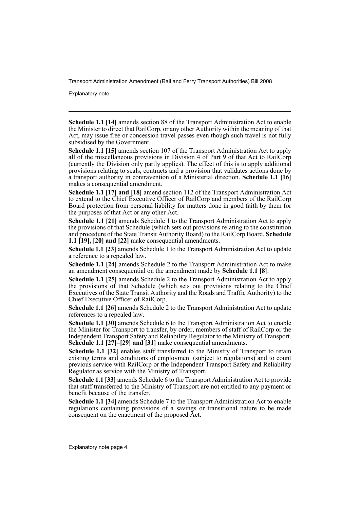Explanatory note

**Schedule 1.1 [14]** amends section 88 of the Transport Administration Act to enable the Minister to direct that RailCorp, or any other Authority within the meaning of that Act, may issue free or concession travel passes even though such travel is not fully subsidised by the Government.

**Schedule 1.1 [15]** amends section 107 of the Transport Administration Act to apply all of the miscellaneous provisions in Division 4 of Part 9 of that Act to RailCorp (currently the Division only partly applies). The effect of this is to apply additional provisions relating to seals, contracts and a provision that validates actions done by a transport authority in contravention of a Ministerial direction. **Schedule 1.1 [16]** makes a consequential amendment.

**Schedule 1.1 [17] and [18]** amend section 112 of the Transport Administration Act to extend to the Chief Executive Officer of RailCorp and members of the RailCorp Board protection from personal liability for matters done in good faith by them for the purposes of that Act or any other Act.

**Schedule 1.1 [21]** amends Schedule 1 to the Transport Administration Act to apply the provisions of that Schedule (which sets out provisions relating to the constitution and procedure of the State Transit Authority Board) to the RailCorp Board. **Schedule 1.1 [19], [20] and [22]** make consequential amendments.

**Schedule 1.1 [23]** amends Schedule 1 to the Transport Administration Act to update a reference to a repealed law.

**Schedule 1.1 [24]** amends Schedule 2 to the Transport Administration Act to make an amendment consequential on the amendment made by **Schedule 1.1 [8]**.

**Schedule 1.1 [25]** amends Schedule 2 to the Transport Administration Act to apply the provisions of that Schedule (which sets out provisions relating to the Chief Executives of the State Transit Authority and the Roads and Traffic Authority) to the Chief Executive Officer of RailCorp.

**Schedule 1.1 [26]** amends Schedule 2 to the Transport Administration Act to update references to a repealed law.

**Schedule 1.1 [30]** amends Schedule 6 to the Transport Administration Act to enable the Minister for Transport to transfer, by order, members of staff of RailCorp or the Independent Transport Safety and Reliability Regulator to the Ministry of Transport. **Schedule 1.1 [27]–[29] and [31]** make consequential amendments.

**Schedule 1.1 [32]** enables staff transferred to the Ministry of Transport to retain existing terms and conditions of employment (subject to regulations) and to count previous service with RailCorp or the Independent Transport Safety and Reliability Regulator as service with the Ministry of Transport.

**Schedule 1.1 [33]** amends Schedule 6 to the Transport Administration Act to provide that staff transferred to the Ministry of Transport are not entitled to any payment or benefit because of the transfer.

**Schedule 1.1 [34]** amends Schedule 7 to the Transport Administration Act to enable regulations containing provisions of a savings or transitional nature to be made consequent on the enactment of the proposed Act.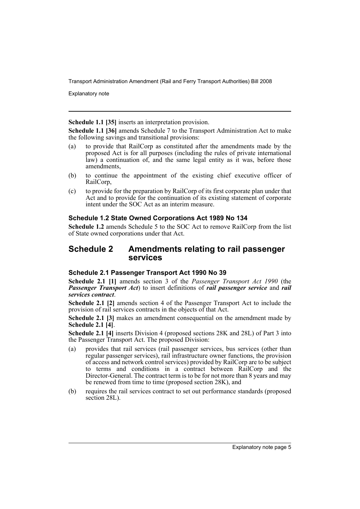Explanatory note

**Schedule 1.1 [35]** inserts an interpretation provision.

**Schedule 1.1 [36]** amends Schedule 7 to the Transport Administration Act to make the following savings and transitional provisions:

- (a) to provide that RailCorp as constituted after the amendments made by the proposed Act is for all purposes (including the rules of private international law) a continuation of, and the same legal entity as it was, before those amendments,
- (b) to continue the appointment of the existing chief executive officer of RailCorp,
- (c) to provide for the preparation by RailCorp of its first corporate plan under that Act and to provide for the continuation of its existing statement of corporate intent under the SOC Act as an interim measure.

### **Schedule 1.2 State Owned Corporations Act 1989 No 134**

**Schedule 1.2** amends Schedule 5 to the SOC Act to remove RailCorp from the list of State owned corporations under that Act.

## **Schedule 2 Amendments relating to rail passenger services**

### **Schedule 2.1 Passenger Transport Act 1990 No 39**

**Schedule 2.1 [1]** amends section 3 of the *Passenger Transport Act 1990* (the *Passenger Transport Act*) to insert definitions of *rail passenger service* and *rail services contract*.

**Schedule 2.1 [2]** amends section 4 of the Passenger Transport Act to include the provision of rail services contracts in the objects of that Act.

**Schedule 2.1 [3]** makes an amendment consequential on the amendment made by **Schedule 2.1 [4]**.

**Schedule 2.1 [4]** inserts Division 4 (proposed sections 28K and 28L) of Part 3 into the Passenger Transport Act. The proposed Division:

- (a) provides that rail services (rail passenger services, bus services (other than regular passenger services), rail infrastructure owner functions, the provision of access and network control services) provided by RailCorp are to be subject to terms and conditions in a contract between RailCorp and the Director-General. The contract term is to be for not more than 8 years and may be renewed from time to time (proposed section 28K), and
- (b) requires the rail services contract to set out performance standards (proposed section 28L).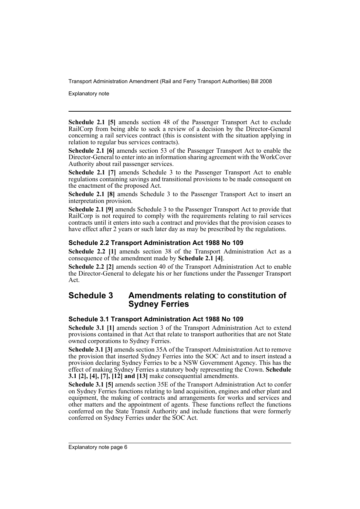Explanatory note

**Schedule 2.1 [5]** amends section 48 of the Passenger Transport Act to exclude RailCorp from being able to seek a review of a decision by the Director-General concerning a rail services contract (this is consistent with the situation applying in relation to regular bus services contracts).

**Schedule 2.1 [6]** amends section 53 of the Passenger Transport Act to enable the Director-General to enter into an information sharing agreement with the WorkCover Authority about rail passenger services.

**Schedule 2.1 [7]** amends Schedule 3 to the Passenger Transport Act to enable regulations containing savings and transitional provisions to be made consequent on the enactment of the proposed Act.

**Schedule 2.1 [8]** amends Schedule 3 to the Passenger Transport Act to insert an interpretation provision.

**Schedule 2.1 [9]** amends Schedule 3 to the Passenger Transport Act to provide that RailCorp is not required to comply with the requirements relating to rail services contracts until it enters into such a contract and provides that the provision ceases to have effect after 2 years or such later day as may be prescribed by the regulations.

## **Schedule 2.2 Transport Administration Act 1988 No 109**

**Schedule 2.2 [1]** amends section 38 of the Transport Administration Act as a consequence of the amendment made by **Schedule 2.1 [4]**.

**Schedule 2.2 [2]** amends section 40 of the Transport Administration Act to enable the Director-General to delegate his or her functions under the Passenger Transport Act.

## **Schedule 3 Amendments relating to constitution of Sydney Ferries**

### **Schedule 3.1 Transport Administration Act 1988 No 109**

**Schedule 3.1 [1]** amends section 3 of the Transport Administration Act to extend provisions contained in that Act that relate to transport authorities that are not State owned corporations to Sydney Ferries.

**Schedule 3.1 [3]** amends section 35A of the Transport Administration Act to remove the provision that inserted Sydney Ferries into the SOC Act and to insert instead a provision declaring Sydney Ferries to be a NSW Government Agency. This has the effect of making Sydney Ferries a statutory body representing the Crown. **Schedule 3.1 [2], [4], [7], [12] and [13]** make consequential amendments.

**Schedule 3.1 [5]** amends section 35E of the Transport Administration Act to confer on Sydney Ferries functions relating to land acquisition, engines and other plant and equipment, the making of contracts and arrangements for works and services and other matters and the appointment of agents. These functions reflect the functions conferred on the State Transit Authority and include functions that were formerly conferred on Sydney Ferries under the SOC Act.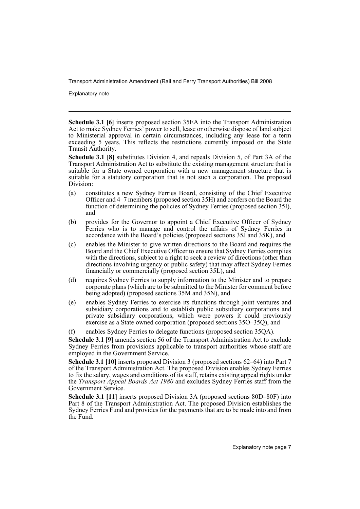Explanatory note

**Schedule 3.1 [6]** inserts proposed section 35EA into the Transport Administration Act to make Sydney Ferries' power to sell, lease or otherwise dispose of land subject to Ministerial approval in certain circumstances, including any lease for a term exceeding 5 years. This reflects the restrictions currently imposed on the State Transit Authority.

**Schedule 3.1 [8]** substitutes Division 4, and repeals Division 5, of Part 3A of the Transport Administration Act to substitute the existing management structure that is suitable for a State owned corporation with a new management structure that is suitable for a statutory corporation that is not such a corporation. The proposed Division:

- (a) constitutes a new Sydney Ferries Board, consisting of the Chief Executive Officer and 4–7 members (proposed section 35H) and confers on the Board the function of determining the policies of Sydney Ferries (proposed section 35I), and
- (b) provides for the Governor to appoint a Chief Executive Officer of Sydney Ferries who is to manage and control the affairs of Sydney Ferries in accordance with the Board's policies (proposed sections 35J and 35K), and
- (c) enables the Minister to give written directions to the Board and requires the Board and the Chief Executive Officer to ensure that Sydney Ferries complies with the directions, subject to a right to seek a review of directions (other than directions involving urgency or public safety) that may affect Sydney Ferries financially or commercially (proposed section 35L), and
- (d) requires Sydney Ferries to supply information to the Minister and to prepare corporate plans (which are to be submitted to the Minister for comment before being adopted) (proposed sections 35M and 35N), and
- (e) enables Sydney Ferries to exercise its functions through joint ventures and subsidiary corporations and to establish public subsidiary corporations and private subsidiary corporations, which were powers it could previously exercise as a State owned corporation (proposed sections 35O–35Q), and
- (f) enables Sydney Ferries to delegate functions (proposed section 35QA).

**Schedule 3.1 [9]** amends section 56 of the Transport Administration Act to exclude Sydney Ferries from provisions applicable to transport authorities whose staff are employed in the Government Service.

**Schedule 3.1 [10]** inserts proposed Division 3 (proposed sections 62–64) into Part 7 of the Transport Administration Act. The proposed Division enables Sydney Ferries to fix the salary, wages and conditions of its staff, retains existing appeal rights under the *Transport Appeal Boards Act 1980* and excludes Sydney Ferries staff from the Government Service.

**Schedule 3.1 [11]** inserts proposed Division 3A (proposed sections 80D–80F) into Part 8 of the Transport Administration Act. The proposed Division establishes the Sydney Ferries Fund and provides for the payments that are to be made into and from the Fund.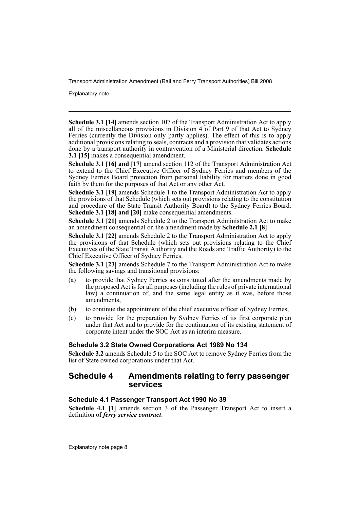Explanatory note

**Schedule 3.1 [14]** amends section 107 of the Transport Administration Act to apply all of the miscellaneous provisions in Division  $4$  of Part 9 of that Act to Sydney Ferries (currently the Division only partly applies). The effect of this is to apply additional provisions relating to seals, contracts and a provision that validates actions done by a transport authority in contravention of a Ministerial direction. **Schedule 3.1 [15]** makes a consequential amendment.

**Schedule 3.1 [16] and [17]** amend section 112 of the Transport Administration Act to extend to the Chief Executive Officer of Sydney Ferries and members of the Sydney Ferries Board protection from personal liability for matters done in good faith by them for the purposes of that Act or any other Act.

**Schedule 3.1 [19]** amends Schedule 1 to the Transport Administration Act to apply the provisions of that Schedule (which sets out provisions relating to the constitution and procedure of the State Transit Authority Board) to the Sydney Ferries Board. **Schedule 3.1 [18] and [20]** make consequential amendments.

**Schedule 3.1 [21]** amends Schedule 2 to the Transport Administration Act to make an amendment consequential on the amendment made by **Schedule 2.1 [8]**.

**Schedule 3.1 [22]** amends Schedule 2 to the Transport Administration Act to apply the provisions of that Schedule (which sets out provisions relating to the Chief Executives of the State Transit Authority and the Roads and Traffic Authority) to the Chief Executive Officer of Sydney Ferries.

**Schedule 3.1 [23]** amends Schedule 7 to the Transport Administration Act to make the following savings and transitional provisions:

- (a) to provide that Sydney Ferries as constituted after the amendments made by the proposed Act is for all purposes (including the rules of private international law) a continuation of, and the same legal entity as it was, before those amendments,
- (b) to continue the appointment of the chief executive officer of Sydney Ferries,
- (c) to provide for the preparation by Sydney Ferries of its first corporate plan under that Act and to provide for the continuation of its existing statement of corporate intent under the SOC Act as an interim measure.

## **Schedule 3.2 State Owned Corporations Act 1989 No 134**

**Schedule 3.2** amends Schedule 5 to the SOC Act to remove Sydney Ferries from the list of State owned corporations under that Act.

## **Schedule 4 Amendments relating to ferry passenger services**

## **Schedule 4.1 Passenger Transport Act 1990 No 39**

**Schedule 4.1 [1]** amends section 3 of the Passenger Transport Act to insert a definition of *ferry service contract*.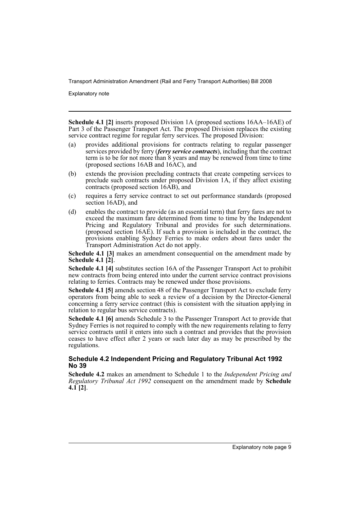Explanatory note

**Schedule 4.1 [2]** inserts proposed Division 1A (proposed sections 16AA–16AE) of Part 3 of the Passenger Transport Act. The proposed Division replaces the existing service contract regime for regular ferry services. The proposed Division:

- (a) provides additional provisions for contracts relating to regular passenger services provided by ferry (*ferry service contracts*), including that the contract term is to be for not more than 8 years and may be renewed from time to time (proposed sections 16AB and 16AC), and
- (b) extends the provision precluding contracts that create competing services to preclude such contracts under proposed Division 1A, if they affect existing contracts (proposed section 16AB), and
- (c) requires a ferry service contract to set out performance standards (proposed section 16AD), and
- (d) enables the contract to provide (as an essential term) that ferry fares are not to exceed the maximum fare determined from time to time by the Independent Pricing and Regulatory Tribunal and provides for such determinations. (proposed section 16AE). If such a provision is included in the contract, the provisions enabling Sydney Ferries to make orders about fares under the Transport Administration Act do not apply.

**Schedule 4.1 [3]** makes an amendment consequential on the amendment made by **Schedule 4.1 [2]**.

**Schedule 4.1 [4]** substitutes section 16A of the Passenger Transport Act to prohibit new contracts from being entered into under the current service contract provisions relating to ferries. Contracts may be renewed under those provisions.

**Schedule 4.1 [5]** amends section 48 of the Passenger Transport Act to exclude ferry operators from being able to seek a review of a decision by the Director-General concerning a ferry service contract (this is consistent with the situation applying in relation to regular bus service contracts).

**Schedule 4.1 [6]** amends Schedule 3 to the Passenger Transport Act to provide that Sydney Ferries is not required to comply with the new requirements relating to ferry service contracts until it enters into such a contract and provides that the provision ceases to have effect after 2 years or such later day as may be prescribed by the regulations.

### **Schedule 4.2 Independent Pricing and Regulatory Tribunal Act 1992 No 39**

**Schedule 4.2** makes an amendment to Schedule 1 to the *Independent Pricing and Regulatory Tribunal Act 1992* consequent on the amendment made by **Schedule 4.1 [2]**.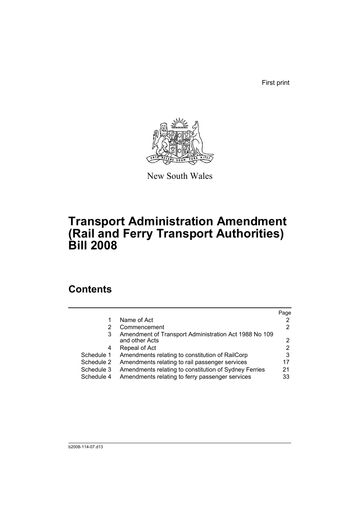First print



New South Wales

# **Transport Administration Amendment (Rail and Ferry Transport Authorities) Bill 2008**

# **Contents**

|            |                                                       | Page |
|------------|-------------------------------------------------------|------|
| 1          | Name of Act                                           |      |
| 2          | Commencement                                          | 2    |
| 3          | Amendment of Transport Administration Act 1988 No 109 |      |
|            | and other Acts                                        |      |
| 4          | Repeal of Act                                         | 2    |
| Schedule 1 | Amendments relating to constitution of RailCorp       | 3    |
| Schedule 2 | Amendments relating to rail passenger services        | 17   |
| Schedule 3 | Amendments relating to constitution of Sydney Ferries | 21   |
| Schedule 4 | Amendments relating to ferry passenger services       | 33   |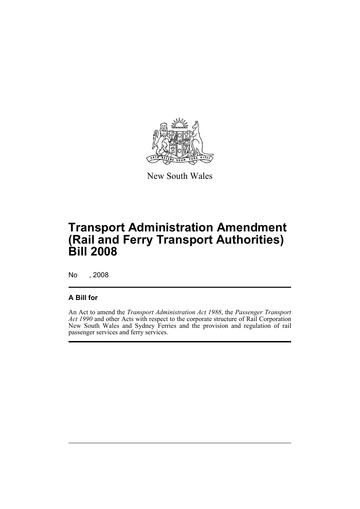

New South Wales

# **Transport Administration Amendment (Rail and Ferry Transport Authorities) Bill 2008**

No , 2008

## **A Bill for**

An Act to amend the *Transport Administration Act 1988*, the *Passenger Transport Act 1990* and other Acts with respect to the corporate structure of Rail Corporation New South Wales and Sydney Ferries and the provision and regulation of rail passenger services and ferry services.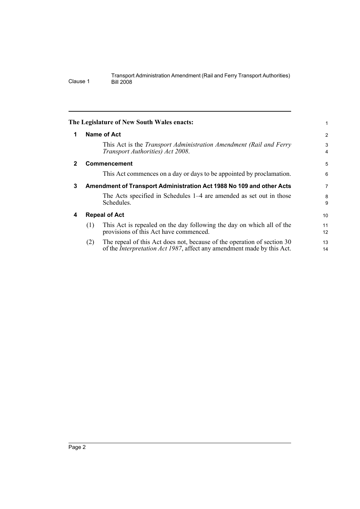<span id="page-13-3"></span><span id="page-13-2"></span><span id="page-13-1"></span><span id="page-13-0"></span>

|     |                                                                                                                                                           | $\overline{2}$                                                                                                                                                                   |
|-----|-----------------------------------------------------------------------------------------------------------------------------------------------------------|----------------------------------------------------------------------------------------------------------------------------------------------------------------------------------|
|     | This Act is the Transport Administration Amendment (Rail and Ferry<br>Transport Authorities) Act 2008.                                                    | 3<br>4                                                                                                                                                                           |
|     |                                                                                                                                                           | 5                                                                                                                                                                                |
|     | This Act commences on a day or days to be appointed by proclamation.                                                                                      | 6                                                                                                                                                                                |
|     |                                                                                                                                                           | 7                                                                                                                                                                                |
|     | The Acts specified in Schedules 1–4 are amended as set out in those<br>Schedules.                                                                         | 8<br>9                                                                                                                                                                           |
|     |                                                                                                                                                           | 10                                                                                                                                                                               |
| (1) | This Act is repealed on the day following the day on which all of the<br>provisions of this Act have commenced.                                           | 11<br>12                                                                                                                                                                         |
| (2) | The repeal of this Act does not, because of the operation of section 30<br>of the <i>Interpretation Act 1987</i> , affect any amendment made by this Act. | 13<br>14                                                                                                                                                                         |
|     |                                                                                                                                                           | The Legislature of New South Wales enacts:<br>Name of Act<br><b>Commencement</b><br>Amendment of Transport Administration Act 1988 No 109 and other Acts<br><b>Repeal of Act</b> |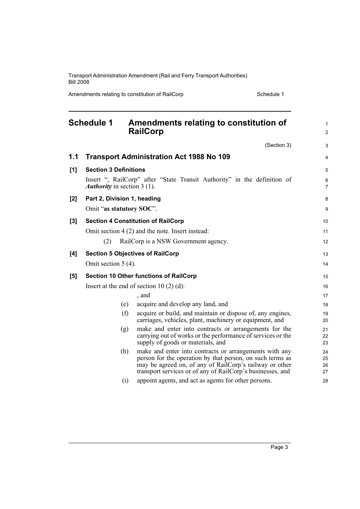Amendments relating to constitution of RailCorp Schedule 1

<span id="page-14-0"></span>

|     | <b>Schedule 1</b>                  | Amendments relating to constitution of<br><b>RailCorp</b>                                                                                                                                                                                    | $\mathbf{1}$<br>2    |
|-----|------------------------------------|----------------------------------------------------------------------------------------------------------------------------------------------------------------------------------------------------------------------------------------------|----------------------|
|     |                                    | (Section 3)                                                                                                                                                                                                                                  | 3                    |
| 1.1 |                                    | <b>Transport Administration Act 1988 No 109</b>                                                                                                                                                                                              | 4                    |
| [1] | <b>Section 3 Definitions</b>       |                                                                                                                                                                                                                                              | 5                    |
|     | <b>Authority</b> in section 3 (1). | Insert ", RailCorp" after "State Transit Authority" in the definition of                                                                                                                                                                     | 6<br>7               |
| [2] | Part 2, Division 1, heading        |                                                                                                                                                                                                                                              | 8                    |
|     | Omit "as statutory SOC".           |                                                                                                                                                                                                                                              | 9                    |
| [3] |                                    | <b>Section 4 Constitution of RailCorp</b>                                                                                                                                                                                                    | 10                   |
|     |                                    | Omit section 4 (2) and the note. Insert instead:                                                                                                                                                                                             | 11                   |
|     | (2)                                | RailCorp is a NSW Government agency.                                                                                                                                                                                                         | 12                   |
| [4] |                                    | <b>Section 5 Objectives of RailCorp</b>                                                                                                                                                                                                      | 13                   |
|     | Omit section $5(4)$ .              |                                                                                                                                                                                                                                              | 14                   |
| [5] |                                    | <b>Section 10 Other functions of RailCorp</b>                                                                                                                                                                                                | 15                   |
|     |                                    | Insert at the end of section 10 $(2)$ $(d)$ :                                                                                                                                                                                                | 16                   |
|     |                                    | , and                                                                                                                                                                                                                                        | 17                   |
|     | (e)                                | acquire and develop any land, and                                                                                                                                                                                                            | 18                   |
|     | (f)                                | acquire or build, and maintain or dispose of, any engines,<br>carriages, vehicles, plant, machinery or equipment, and                                                                                                                        | 19<br>20             |
|     | (g)                                | make and enter into contracts or arrangements for the<br>carrying out of works or the performance of services or the<br>supply of goods or materials, and                                                                                    | 21<br>22<br>23       |
|     | (h)                                | make and enter into contracts or arrangements with any<br>person for the operation by that person, on such terms as<br>may be agreed on, of any of RailCorp's railway or other<br>transport services or of any of RailCorp's businesses, and | 24<br>25<br>26<br>27 |
|     | (i)                                | appoint agents, and act as agents for other persons.                                                                                                                                                                                         | 28                   |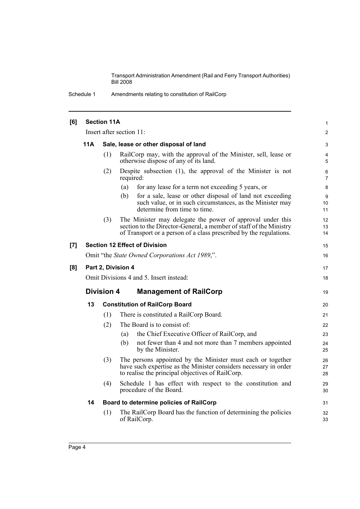Schedule 1 Amendments relating to constitution of RailCorp

| [6] | <b>Section 11A</b>                                 |                                       |                                                                                                                                                                                                        |                     |  |  |  |
|-----|----------------------------------------------------|---------------------------------------|--------------------------------------------------------------------------------------------------------------------------------------------------------------------------------------------------------|---------------------|--|--|--|
|     |                                                    | Insert after section 11:              |                                                                                                                                                                                                        |                     |  |  |  |
|     | 11A                                                |                                       | Sale, lease or other disposal of land                                                                                                                                                                  | 3                   |  |  |  |
|     |                                                    | (1)                                   | RailCorp may, with the approval of the Minister, sell, lease or<br>otherwise dispose of any of its land.                                                                                               | 4<br>5              |  |  |  |
|     |                                                    | (2)                                   | Despite subsection $(1)$ , the approval of the Minister is not<br>required:                                                                                                                            | 6<br>$\overline{7}$ |  |  |  |
|     |                                                    |                                       | for any lease for a term not exceeding 5 years, or<br>(a)                                                                                                                                              | 8                   |  |  |  |
|     |                                                    |                                       | for a sale, lease or other disposal of land not exceeding<br>(b)<br>such value, or in such circumstances, as the Minister may<br>determine from time to time.                                          | 9<br>10<br>11       |  |  |  |
|     |                                                    | (3)                                   | The Minister may delegate the power of approval under this<br>section to the Director-General, a member of staff of the Ministry<br>of Transport or a person of a class prescribed by the regulations. | 12<br>13<br>14      |  |  |  |
| [7] |                                                    |                                       | <b>Section 12 Effect of Division</b>                                                                                                                                                                   | 15                  |  |  |  |
|     | Omit "the State Owned Corporations Act 1989,".     |                                       |                                                                                                                                                                                                        |                     |  |  |  |
| [8] | Part 2, Division 4                                 |                                       |                                                                                                                                                                                                        |                     |  |  |  |
|     | Omit Divisions 4 and 5. Insert instead:            |                                       |                                                                                                                                                                                                        |                     |  |  |  |
|     | <b>Division 4</b><br><b>Management of RailCorp</b> |                                       |                                                                                                                                                                                                        |                     |  |  |  |
|     | 13                                                 | <b>Constitution of RailCorp Board</b> |                                                                                                                                                                                                        |                     |  |  |  |
|     |                                                    | (1)                                   | There is constituted a RailCorp Board.                                                                                                                                                                 | 21                  |  |  |  |
|     |                                                    | (2)                                   | The Board is to consist of:                                                                                                                                                                            | 22                  |  |  |  |
|     |                                                    |                                       | the Chief Executive Officer of RailCorp, and<br>(a)                                                                                                                                                    | 23                  |  |  |  |
|     |                                                    |                                       | not fewer than 4 and not more than 7 members appointed<br>(b)<br>by the Minister.                                                                                                                      | 24<br>25            |  |  |  |
|     |                                                    | (3)                                   | The persons appointed by the Minister must each or together<br>have such expertise as the Minister considers necessary in order<br>to realise the principal objectives of RailCorp.                    | 26<br>27<br>28      |  |  |  |
|     |                                                    | (4)                                   | Schedule 1 has effect with respect to the constitution and<br>procedure of the Board.                                                                                                                  | 29<br>30            |  |  |  |
|     | 14                                                 |                                       | Board to determine policies of RailCorp                                                                                                                                                                | 31                  |  |  |  |
|     |                                                    | (1)                                   | The RailCorp Board has the function of determining the policies<br>of RailCorp.                                                                                                                        | 32<br>33            |  |  |  |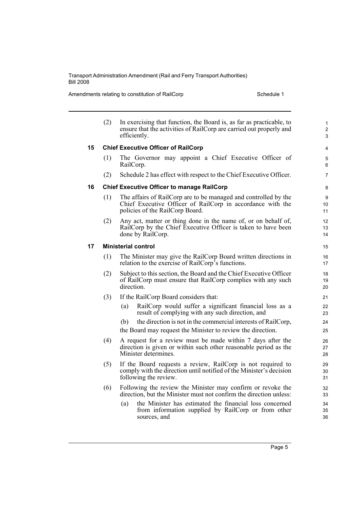Amendments relating to constitution of RailCorp Schedule 1

|    | (2) | In exercising that function, the Board is, as far as practicable, to<br>ensure that the activities of RailCorp are carried out properly and<br>efficiently.      | $\mathbf{1}$<br>$\overline{c}$<br>3 |
|----|-----|------------------------------------------------------------------------------------------------------------------------------------------------------------------|-------------------------------------|
| 15 |     | <b>Chief Executive Officer of RailCorp</b>                                                                                                                       | $\overline{4}$                      |
|    | (1) | The Governor may appoint a Chief Executive Officer of<br>RailCorp.                                                                                               | 5<br>6                              |
|    | (2) | Schedule 2 has effect with respect to the Chief Executive Officer.                                                                                               | $\overline{7}$                      |
| 16 |     | <b>Chief Executive Officer to manage RailCorp</b>                                                                                                                | 8                                   |
|    | (1) | The affairs of RailCorp are to be managed and controlled by the<br>Chief Executive Officer of RailCorp in accordance with the<br>policies of the RailCorp Board. | 9<br>10<br>11                       |
|    | (2) | Any act, matter or thing done in the name of, or on behalf of,<br>RailCorp by the Chief Executive Officer is taken to have been<br>done by RailCorp.             | 12<br>13<br>14                      |
| 17 |     | <b>Ministerial control</b>                                                                                                                                       | 15                                  |
|    | (1) | The Minister may give the RailCorp Board written directions in<br>relation to the exercise of RailCorp <sup>5</sup> s functions.                                 | 16<br>17                            |
|    | (2) | Subject to this section, the Board and the Chief Executive Officer<br>of RailCorp must ensure that RailCorp complies with any such<br>direction.                 | 18<br>19<br>20                      |
|    | (3) | If the RailCorp Board considers that:                                                                                                                            | 21                                  |
|    |     | RailCorp would suffer a significant financial loss as a<br>(a)<br>result of complying with any such direction, and                                               | 22<br>23                            |
|    |     | the direction is not in the commercial interests of RailCorp,<br>(b)<br>the Board may request the Minister to review the direction.                              | 24<br>25                            |
|    | (4) | A request for a review must be made within 7 days after the<br>direction is given or within such other reasonable period as the<br>Minister determines.          | 26<br>27<br>28                      |
|    | (5) | If the Board requests a review, RailCorp is not required to<br>comply with the direction until notified of the Minister's decision<br>following the review.      | 29<br>30<br>31                      |
|    | (6) | Following the review the Minister may confirm or revoke the<br>direction, but the Minister must not confirm the direction unless:                                | 32<br>33                            |
|    |     | the Minister has estimated the financial loss concerned<br>(a)<br>from information supplied by RailCorp or from other<br>sources, and                            | 34<br>35<br>36                      |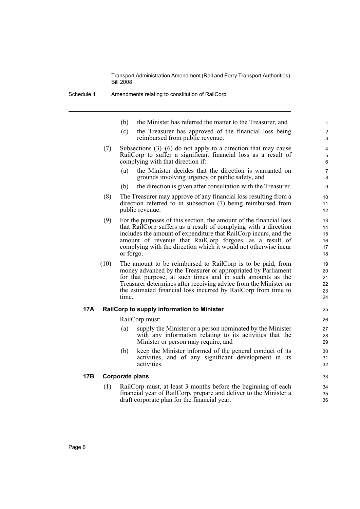- (b) the Minister has referred the matter to the Treasurer, and
- (c) the Treasurer has approved of the financial loss being reimbursed from public revenue.
- (7) Subsections (3)–(6) do not apply to a direction that may cause RailCorp to suffer a significant financial loss as a result of complying with that direction if:
	- (a) the Minister decides that the direction is warranted on grounds involving urgency or public safety, and
	- (b) the direction is given after consultation with the Treasurer.
- (8) The Treasurer may approve of any financial loss resulting from a direction referred to in subsection (7) being reimbursed from public revenue.
- (9) For the purposes of this section, the amount of the financial loss that RailCorp suffers as a result of complying with a direction includes the amount of expenditure that RailCorp incurs, and the amount of revenue that RailCorp forgoes, as a result of complying with the direction which it would not otherwise incur or forgo.
- (10) The amount to be reimbursed to RailCorp is to be paid, from money advanced by the Treasurer or appropriated by Parliament for that purpose, at such times and in such amounts as the Treasurer determines after receiving advice from the Minister on the estimated financial loss incurred by RailCorp from time to time.

#### **17A RailCorp to supply information to Minister**

RailCorp must:

- (a) supply the Minister or a person nominated by the Minister with any information relating to its activities that the Minister or person may require, and
- (b) keep the Minister informed of the general conduct of its activities, and of any significant development in its activities.

### **17B Corporate plans**

(1) RailCorp must, at least 3 months before the beginning of each financial year of RailCorp, prepare and deliver to the Minister a draft corporate plan for the financial year.

32 33

34 35 36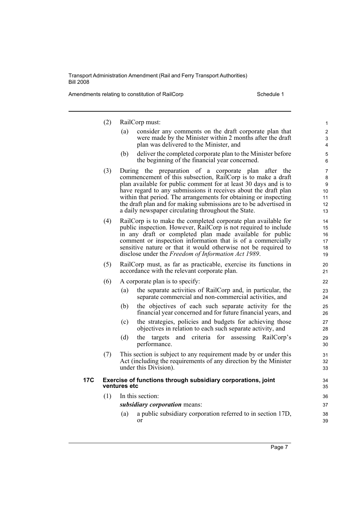Amendments relating to constitution of RailCorp Schedule 1

|     | (2) | RailCorp must:                                                                                                                        | 1              |
|-----|-----|---------------------------------------------------------------------------------------------------------------------------------------|----------------|
|     |     | (a)<br>consider any comments on the draft corporate plan that                                                                         | $\overline{2}$ |
|     |     | were made by the Minister within 2 months after the draft<br>plan was delivered to the Minister, and                                  | 3<br>4         |
|     |     | deliver the completed corporate plan to the Minister before<br>(b)                                                                    | 5              |
|     |     | the beginning of the financial year concerned.                                                                                        | 6              |
|     | (3) | During the preparation of a corporate plan after the                                                                                  | 7              |
|     |     | commencement of this subsection, RailCorp is to make a draft<br>plan available for public comment for at least 30 days and is to      | 8<br>9         |
|     |     | have regard to any submissions it receives about the draft plan                                                                       | 10             |
|     |     | within that period. The arrangements for obtaining or inspecting<br>the draft plan and for making submissions are to be advertised in | 11<br>12       |
|     |     | a daily newspaper circulating throughout the State.                                                                                   | 13             |
|     | (4) | RailCorp is to make the completed corporate plan available for                                                                        | 14             |
|     |     | public inspection. However, RailCorp is not required to include                                                                       | 15             |
|     |     | in any draft or completed plan made available for public<br>comment or inspection information that is of a commercially               | 16<br>17       |
|     |     | sensitive nature or that it would otherwise not be required to                                                                        | 18             |
|     |     | disclose under the Freedom of Information Act 1989.                                                                                   | 19             |
|     | (5) | RailCorp must, as far as practicable, exercise its functions in                                                                       | 20             |
|     |     | accordance with the relevant corporate plan.                                                                                          | 21             |
|     | (6) | A corporate plan is to specify:                                                                                                       | 22             |
|     |     | the separate activities of RailCorp and, in particular, the<br>(a)<br>separate commercial and non-commercial activities, and          | 23<br>24       |
|     |     | the objectives of each such separate activity for the<br>(b)<br>financial year concerned and for future financial years, and          | 25<br>26       |
|     |     | the strategies, policies and budgets for achieving those<br>(c)<br>objectives in relation to each such separate activity, and         | 27<br>28       |
|     |     | (d)<br>and criteria for assessing RailCorp's<br>the targets                                                                           | 29             |
|     |     | performance.                                                                                                                          | 30             |
|     | (7) | This section is subject to any requirement made by or under this                                                                      | 31             |
|     |     | Act (including the requirements of any direction by the Minister<br>under this Division).                                             | 32<br>33       |
| 17C |     | Exercise of functions through subsidiary corporations, joint<br>ventures etc                                                          | 34<br>35       |
|     | (1) | In this section:                                                                                                                      | 36             |
|     |     | subsidiary corporation means:                                                                                                         | 37             |
|     |     | a public subsidiary corporation referred to in section 17D,<br>(a)<br>or                                                              | 38<br>39       |
|     |     |                                                                                                                                       |                |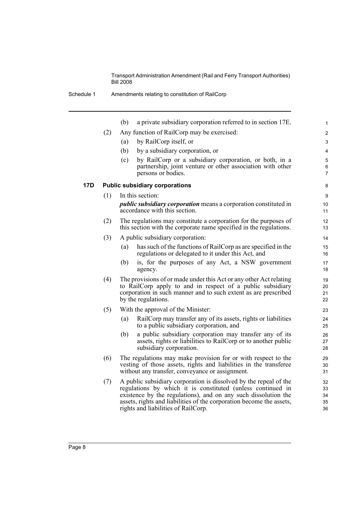|            |     | (b)<br>a private subsidiary corporation referred to in section 17E.                                                                                                                                                                                                                                               | 1                          |
|------------|-----|-------------------------------------------------------------------------------------------------------------------------------------------------------------------------------------------------------------------------------------------------------------------------------------------------------------------|----------------------------|
|            | (2) | Any function of RailCorp may be exercised:                                                                                                                                                                                                                                                                        | 2                          |
|            |     | by RailCorp itself, or<br>(a)                                                                                                                                                                                                                                                                                     | 3                          |
|            |     | (b)<br>by a subsidiary corporation, or                                                                                                                                                                                                                                                                            | 4                          |
|            |     | by RailCorp or a subsidiary corporation, or both, in a<br>(c)                                                                                                                                                                                                                                                     | 5                          |
|            |     | partnership, joint venture or other association with other<br>persons or bodies.                                                                                                                                                                                                                                  | 6<br>$\overline{7}$        |
| <b>17D</b> |     | <b>Public subsidiary corporations</b>                                                                                                                                                                                                                                                                             | 8                          |
|            | (1) | In this section:                                                                                                                                                                                                                                                                                                  | 9                          |
|            |     | <i>public subsidiary corporation</i> means a corporation constituted in<br>accordance with this section.                                                                                                                                                                                                          | 10<br>11                   |
|            | (2) | The regulations may constitute a corporation for the purposes of<br>this section with the corporate name specified in the regulations.                                                                                                                                                                            | 12<br>13                   |
|            | (3) | A public subsidiary corporation:                                                                                                                                                                                                                                                                                  | 14                         |
|            |     | has such of the functions of RailCorp as are specified in the<br>(a)<br>regulations or delegated to it under this Act, and                                                                                                                                                                                        | 15<br>16                   |
|            |     | is, for the purposes of any Act, a NSW government<br>(b)<br>agency.                                                                                                                                                                                                                                               | 17<br>18                   |
|            | (4) | The provisions of or made under this Act or any other Act relating<br>to RailCorp apply to and in respect of a public subsidiary<br>corporation in such manner and to such extent as are prescribed<br>by the regulations.                                                                                        | 19<br>20<br>21<br>22       |
|            | (5) | With the approval of the Minister:                                                                                                                                                                                                                                                                                | 23                         |
|            |     | RailCorp may transfer any of its assets, rights or liabilities<br>(a)<br>to a public subsidiary corporation, and                                                                                                                                                                                                  | 24<br>25                   |
|            |     | (b)<br>a public subsidiary corporation may transfer any of its<br>assets, rights or liabilities to RailCorp or to another public<br>subsidiary corporation.                                                                                                                                                       | 26<br>27<br>28             |
|            | (6) | The regulations may make provision for or with respect to the<br>vesting of those assets, rights and liabilities in the transferee<br>without any transfer, conveyance or assignment.                                                                                                                             | 29<br>30<br>31             |
|            | (7) | A public subsidiary corporation is dissolved by the repeal of the<br>regulations by which it is constituted (unless continued in<br>existence by the regulations), and on any such dissolution the<br>assets, rights and liabilities of the corporation become the assets,<br>rights and liabilities of RailCorp. | 32<br>33<br>34<br>35<br>36 |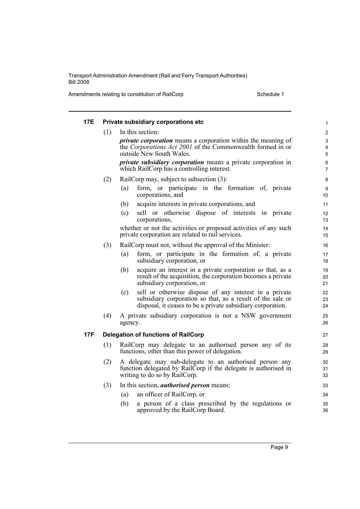Amendments relating to constitution of RailCorp Schedule 1

| 17E |     | Private subsidiary corporations etc                                                                                                                                                        | 1                                             |
|-----|-----|--------------------------------------------------------------------------------------------------------------------------------------------------------------------------------------------|-----------------------------------------------|
|     | (1) | In this section:                                                                                                                                                                           | $\overline{2}$                                |
|     |     | <i>private corporation</i> means a corporation within the meaning of<br>the Corporations Act 2001 of the Commonwealth formed in or<br>outside New South Wales.                             | $\ensuremath{\mathsf{3}}$<br>4<br>$\mathbf 5$ |
|     |     | <i>private subsidiary corporation</i> means a private corporation in<br>which RailCorp has a controlling interest.                                                                         | 6<br>$\overline{7}$                           |
|     | (2) | RailCorp may, subject to subsection (3):                                                                                                                                                   | 8                                             |
|     |     | form, or participate in the formation of, private<br>(a)<br>corporations, and                                                                                                              | 9<br>10                                       |
|     |     | acquire interests in private corporations, and<br>(b)                                                                                                                                      | 11                                            |
|     |     | sell or otherwise dispose of interests in private<br>(c)<br>corporations,                                                                                                                  | 12<br>13                                      |
|     |     | whether or not the activities or proposed activities of any such<br>private corporation are related to rail services.                                                                      | 14<br>15                                      |
|     | (3) | RailCorp must not, without the approval of the Minister:                                                                                                                                   | 16                                            |
|     |     | form, or participate in the formation of, a private<br>(a)<br>subsidiary corporation, or                                                                                                   | 17<br>18                                      |
|     |     | acquire an interest in a private corporation so that, as a<br>(b)<br>result of the acquisition, the corporation becomes a private<br>subsidiary corporation, or                            | 19<br>20<br>21                                |
|     |     | sell or otherwise dispose of any interest in a private<br>(c)<br>subsidiary corporation so that, as a result of the sale or<br>disposal, it ceases to be a private subsidiary corporation. | 22<br>23<br>24                                |
|     | (4) | A private subsidiary corporation is not a NSW government<br>agency.                                                                                                                        | 25<br>26                                      |
| 17F |     | <b>Delegation of functions of RailCorp</b>                                                                                                                                                 | 27                                            |
|     | (1) | RailCorp may delegate to an authorised person any of its<br>functions, other than this power of delegation.                                                                                | 28<br>29                                      |
|     | (2) | A delegate may sub-delegate to an authorised person any<br>function delegated by RailCorp if the delegate is authorised in<br>writing to do so by RailCorp.                                | 30<br>31<br>32                                |
|     | (3) | In this section, <i>authorised person</i> means:                                                                                                                                           | 33                                            |
|     |     | an officer of RailCorp, or<br>(a)                                                                                                                                                          | 34                                            |
|     |     | a person of a class prescribed by the regulations or<br>(b)<br>approved by the RailCorp Board.                                                                                             | 35<br>36                                      |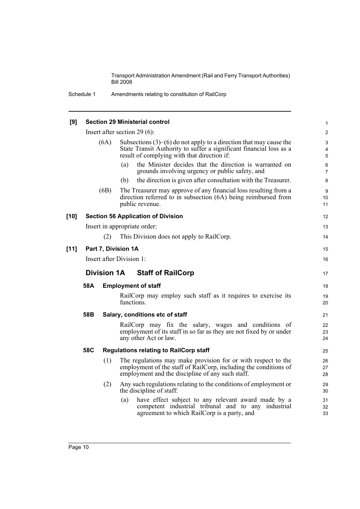Schedule 1 Amendments relating to constitution of RailCorp

| [9]    |                                                |      | <b>Section 29 Ministerial control</b>                                                                                                                                                          | 1                        |  |
|--------|------------------------------------------------|------|------------------------------------------------------------------------------------------------------------------------------------------------------------------------------------------------|--------------------------|--|
|        |                                                |      | Insert after section 29 $(6)$ :                                                                                                                                                                | $\overline{2}$           |  |
|        |                                                | (6A) | Subsections $(3)$ – $(6)$ do not apply to a direction that may cause the<br>State Transit Authority to suffer a significant financial loss as a<br>result of complying with that direction if: | 3<br>$\overline{4}$<br>5 |  |
|        |                                                |      | the Minister decides that the direction is warranted on<br>(a)<br>grounds involving urgency or public safety, and                                                                              | 6<br>$\overline{7}$      |  |
|        |                                                |      | the direction is given after consultation with the Treasurer.<br>(b)                                                                                                                           | 8                        |  |
|        |                                                | (6B) | The Treasurer may approve of any financial loss resulting from a<br>direction referred to in subsection (6A) being reimbursed from<br>public revenue.                                          | 9<br>10<br>11            |  |
| $[10]$ |                                                |      | <b>Section 56 Application of Division</b>                                                                                                                                                      | 12                       |  |
|        |                                                |      | Insert in appropriate order:                                                                                                                                                                   | 13                       |  |
|        |                                                | (2)  | This Division does not apply to RailCorp.                                                                                                                                                      | 14                       |  |
| $[11]$ | Part 7, Division 1A                            |      |                                                                                                                                                                                                |                          |  |
|        | Insert after Division 1:                       |      |                                                                                                                                                                                                |                          |  |
|        | <b>Division 1A</b><br><b>Staff of RailCorp</b> |      |                                                                                                                                                                                                |                          |  |
|        | 58A<br><b>Employment of staff</b>              |      |                                                                                                                                                                                                |                          |  |
|        |                                                |      | RailCorp may employ such staff as it requires to exercise its<br>functions.                                                                                                                    | 19<br>20                 |  |
|        | 58B                                            |      | Salary, conditions etc of staff                                                                                                                                                                | 21                       |  |
|        |                                                |      | RailCorp may fix the salary, wages and conditions of<br>employment of its staff in so far as they are not fixed by or under<br>any other Act or law.                                           | 22<br>23<br>24           |  |
|        | 58C                                            |      | <b>Regulations relating to RailCorp staff</b>                                                                                                                                                  | 25                       |  |
|        |                                                | (1)  | The regulations may make provision for or with respect to the<br>employment of the staff of RailCorp, including the conditions of<br>employment and the discipline of any such staff.          | 26<br>27<br>28           |  |
|        |                                                | (2)  | Any such regulations relating to the conditions of employment or<br>the discipline of staff:                                                                                                   | 29<br>30                 |  |
|        |                                                |      | have effect subject to any relevant award made by a<br>(a)<br>competent industrial tribunal and to any industrial<br>agreement to which RailCorp is a party, and                               | 31<br>32<br>33           |  |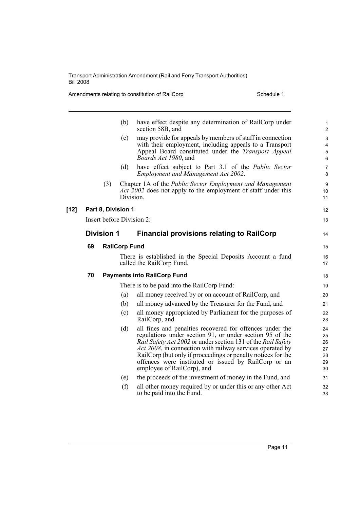Amendments relating to constitution of RailCorp Schedule 1

|        |    |                    | (b)                  | have effect despite any determination of RailCorp under<br>section 58B, and                                               | $\mathbf{1}$<br>$\overline{2}$ |
|--------|----|--------------------|----------------------|---------------------------------------------------------------------------------------------------------------------------|--------------------------------|
|        |    |                    | (c)                  | may provide for appeals by members of staff in connection                                                                 | $\mathsf 3$                    |
|        |    |                    |                      | with their employment, including appeals to a Transport<br>Appeal Board constituted under the Transport Appeal            | $\overline{4}$<br>5            |
|        |    |                    |                      | <i>Boards Act 1980</i> , and                                                                                              | 6                              |
|        |    |                    | (d)                  | have effect subject to Part 3.1 of the Public Sector<br>Employment and Management Act 2002.                               | $\overline{7}$<br>8            |
|        |    | (3)                |                      | Chapter 1A of the Public Sector Employment and Management                                                                 | 9                              |
|        |    |                    | Division.            | <i>Act 2002</i> does not apply to the employment of staff under this                                                      | 10<br>11                       |
| $[12]$ |    | Part 8, Division 1 |                      |                                                                                                                           | 12                             |
|        |    |                    |                      | Insert before Division 2:                                                                                                 | 13                             |
|        |    | <b>Division 1</b>  |                      | <b>Financial provisions relating to RailCorp</b>                                                                          | 14                             |
|        | 69 |                    | <b>RailCorp Fund</b> |                                                                                                                           | 15                             |
|        |    |                    |                      | There is established in the Special Deposits Account a fund<br>called the RailCorp Fund.                                  | 16<br>17                       |
|        | 70 |                    |                      | <b>Payments into RailCorp Fund</b>                                                                                        | 18                             |
|        |    |                    |                      | There is to be paid into the RailCorp Fund:                                                                               | 19                             |
|        |    |                    | (a)                  | all money received by or on account of RailCorp, and                                                                      | 20                             |
|        |    |                    | (b)                  | all money advanced by the Treasurer for the Fund, and                                                                     | 21                             |
|        |    |                    | (c)                  | all money appropriated by Parliament for the purposes of<br>RailCorp, and                                                 | 22<br>23                       |
|        |    |                    | (d)                  | all fines and penalties recovered for offences under the                                                                  | 24                             |
|        |    |                    |                      | regulations under section 91, or under section 95 of the                                                                  | 25                             |
|        |    |                    |                      | Rail Safety Act 2002 or under section 131 of the Rail Safety<br>Act 2008, in connection with railway services operated by | 26<br>27                       |
|        |    |                    |                      | RailCorp (but only if proceedings or penalty notices for the                                                              | 28                             |
|        |    |                    |                      | offences were instituted or issued by RailCorp or an                                                                      | 29                             |
|        |    |                    |                      | employee of RailCorp), and                                                                                                | 30                             |
|        |    |                    | (e)                  | the proceeds of the investment of money in the Fund, and                                                                  | 31                             |
|        |    |                    | (f)                  | all other money required by or under this or any other Act<br>to be paid into the Fund.                                   | 32<br>33                       |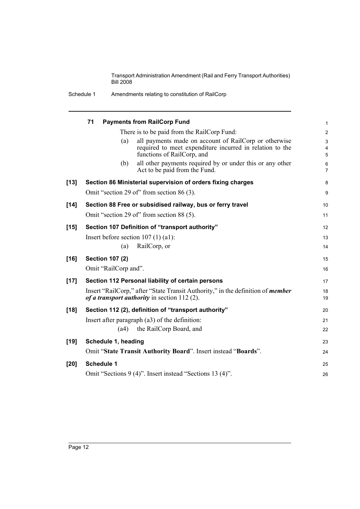|  | Schedule 1 | Amendments relating to constitution of RailCorp |
|--|------------|-------------------------------------------------|
|--|------------|-------------------------------------------------|

|        | 71 |                        | <b>Payments from RailCorp Fund</b>                                                                                                              | 1                       |
|--------|----|------------------------|-------------------------------------------------------------------------------------------------------------------------------------------------|-------------------------|
|        |    |                        | There is to be paid from the RailCorp Fund:                                                                                                     | $\overline{\mathbf{c}}$ |
|        |    | (a)                    | all payments made on account of RailCorp or otherwise<br>required to meet expenditure incurred in relation to the<br>functions of RailCorp, and | 3<br>4<br>5             |
|        |    | (b)                    | all other payments required by or under this or any other<br>Act to be paid from the Fund.                                                      | 6<br>7                  |
| $[13]$ |    |                        | Section 86 Ministerial supervision of orders fixing charges                                                                                     | 8                       |
|        |    |                        | Omit "section 29 of" from section 86 (3).                                                                                                       | 9                       |
| $[14]$ |    |                        | Section 88 Free or subsidised railway, bus or ferry travel                                                                                      | 10                      |
|        |    |                        | Omit "section 29 of" from section 88 (5).                                                                                                       | 11                      |
| $[15]$ |    |                        | Section 107 Definition of "transport authority"                                                                                                 | 12                      |
|        |    |                        | Insert before section $107(1)(a1)$ :                                                                                                            | 13                      |
|        |    | (a)                    | RailCorp, or                                                                                                                                    | 14                      |
| $[16]$ |    | <b>Section 107 (2)</b> |                                                                                                                                                 | 15                      |
|        |    | Omit "RailCorp and".   |                                                                                                                                                 | 16                      |
| $[17]$ |    |                        | Section 112 Personal liability of certain persons                                                                                               | 17                      |
|        |    |                        | Insert "RailCorp," after "State Transit Authority," in the definition of <i>member</i><br>of a transport authority in section $112(2)$ .        | 18<br>19                |
| $[18]$ |    |                        | Section 112 (2), definition of "transport authority"                                                                                            | 20                      |
|        |    |                        | Insert after paragraph (a3) of the definition:                                                                                                  | 21                      |
|        |    | (a4)                   | the RailCorp Board, and                                                                                                                         | 22                      |
| $[19]$ |    | Schedule 1, heading    |                                                                                                                                                 | 23                      |
|        |    |                        | Omit "State Transit Authority Board". Insert instead "Boards".                                                                                  | 24                      |
| $[20]$ |    | <b>Schedule 1</b>      |                                                                                                                                                 | 25                      |
|        |    |                        | Omit "Sections 9 (4)". Insert instead "Sections 13 (4)".                                                                                        | 26                      |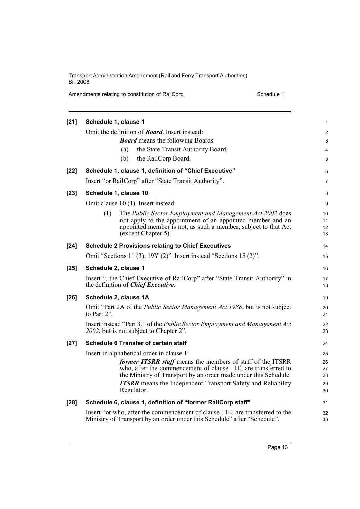Amendments relating to constitution of RailCorp Schedule 1

| $[21]$ | Schedule 1, clause 1                                                                                                                                     | 1              |
|--------|----------------------------------------------------------------------------------------------------------------------------------------------------------|----------------|
|        | Omit the definition of <b>Board</b> . Insert instead:                                                                                                    | $\overline{c}$ |
|        | <b>Board</b> means the following Boards:                                                                                                                 | 3              |
|        | the State Transit Authority Board,<br>(a)                                                                                                                | 4              |
|        | the RailCorp Board.<br>(b)                                                                                                                               | 5              |
| $[22]$ | Schedule 1, clause 1, definition of "Chief Executive"                                                                                                    | 6              |
|        | Insert "or RailCorp" after "State Transit Authority".                                                                                                    | 7              |
| $[23]$ | Schedule 1, clause 10                                                                                                                                    | 8              |
|        | Omit clause 10 (1). Insert instead:                                                                                                                      | 9              |
|        | (1)<br>The Public Sector Employment and Management Act 2002 does                                                                                         | 10             |
|        | not apply to the appointment of an appointed member and an<br>appointed member is not, as such a member, subject to that Act                             | 11             |
|        | (except Chapter 5).                                                                                                                                      | 12<br>13       |
| $[24]$ | <b>Schedule 2 Provisions relating to Chief Executives</b>                                                                                                | 14             |
|        | Omit "Sections 11 (3), 19Y (2)". Insert instead "Sections 15 (2)".                                                                                       | 15             |
| $[25]$ | Schedule 2, clause 1                                                                                                                                     | 16             |
|        | Insert ", the Chief Executive of RailCorp" after "State Transit Authority" in<br>the definition of Chief Executive.                                      | 17<br>18       |
| $[26]$ | Schedule 2, clause 1A                                                                                                                                    | 19             |
|        | Omit "Part 2A of the <i>Public Sector Management Act 1988</i> , but is not subject<br>to Part 2".                                                        | 20<br>21       |
|        | Insert instead "Part 3.1 of the Public Sector Employment and Management Act<br>2002, but is not subject to Chapter 2".                                   | 22<br>23       |
| $[27]$ | Schedule 6 Transfer of certain staff                                                                                                                     | 24             |
|        | Insert in alphabetical order in clause 1:                                                                                                                | 25             |
|        | former ITSRR staff means the members of staff of the ITSRR                                                                                               | 26             |
|        | who, after the commencement of clause 11E, are transferred to<br>the Ministry of Transport by an order made under this Schedule.                         | 27<br>28       |
|        | <b>ITSRR</b> means the Independent Transport Safety and Reliability                                                                                      | 29             |
|        | Regulator.                                                                                                                                               | 30             |
| $[28]$ | Schedule 6, clause 1, definition of "former RailCorp staff"                                                                                              | 31             |
|        | Insert "or who, after the commencement of clause 11E, are transferred to the<br>Ministry of Transport by an order under this Schedule" after "Schedule". | 32<br>33       |
|        |                                                                                                                                                          |                |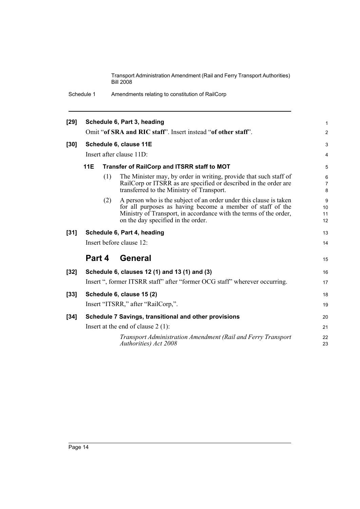Schedule 1 Amendments relating to constitution of RailCorp

| $[29]$ |                                                               |                                                                                                                               | Schedule 6, Part 3, heading                                                                                                                                                                                                                 | 1                        |  |  |  |  |
|--------|---------------------------------------------------------------|-------------------------------------------------------------------------------------------------------------------------------|---------------------------------------------------------------------------------------------------------------------------------------------------------------------------------------------------------------------------------------------|--------------------------|--|--|--|--|
|        | Omit "of SRA and RIC staff". Insert instead "of other staff". |                                                                                                                               |                                                                                                                                                                                                                                             |                          |  |  |  |  |
| $[30]$ |                                                               |                                                                                                                               | Schedule 6, clause 11E                                                                                                                                                                                                                      | 3                        |  |  |  |  |
|        |                                                               |                                                                                                                               | Insert after clause 11D:                                                                                                                                                                                                                    | 4                        |  |  |  |  |
|        | <b>11E</b>                                                    |                                                                                                                               | Transfer of RailCorp and ITSRR staff to MOT                                                                                                                                                                                                 | 5                        |  |  |  |  |
|        |                                                               | (1)                                                                                                                           | The Minister may, by order in writing, provide that such staff of<br>RailCorp or ITSRR as are specified or described in the order are<br>transferred to the Ministry of Transport.                                                          | 6<br>$\overline{7}$<br>8 |  |  |  |  |
|        |                                                               | (2)                                                                                                                           | A person who is the subject of an order under this clause is taken<br>for all purposes as having become a member of staff of the<br>Ministry of Transport, in accordance with the terms of the order,<br>on the day specified in the order. | 9<br>10<br>11<br>12      |  |  |  |  |
| $[31]$ |                                                               |                                                                                                                               | Schedule 6, Part 4, heading                                                                                                                                                                                                                 | 13                       |  |  |  |  |
|        |                                                               |                                                                                                                               | Insert before clause 12:                                                                                                                                                                                                                    | 14                       |  |  |  |  |
|        |                                                               |                                                                                                                               | Part 4 General                                                                                                                                                                                                                              | 15                       |  |  |  |  |
| $[32]$ |                                                               |                                                                                                                               | Schedule 6, clauses 12 (1) and 13 (1) and (3)                                                                                                                                                                                               | 16                       |  |  |  |  |
|        |                                                               |                                                                                                                               | Insert ", former ITSRR staff" after "former OCG staff" wherever occurring.                                                                                                                                                                  | 17                       |  |  |  |  |
| $[33]$ |                                                               |                                                                                                                               | Schedule 6, clause 15 (2)                                                                                                                                                                                                                   | 18                       |  |  |  |  |
|        |                                                               |                                                                                                                               | Insert "ITSRR," after "RailCorp,".                                                                                                                                                                                                          | 19                       |  |  |  |  |
| $[34]$ |                                                               |                                                                                                                               | Schedule 7 Savings, transitional and other provisions                                                                                                                                                                                       | 20                       |  |  |  |  |
|        |                                                               |                                                                                                                               |                                                                                                                                                                                                                                             | 21                       |  |  |  |  |
|        |                                                               | Insert at the end of clause $2(1)$ :<br>Transport Administration Amendment (Rail and Ferry Transport<br>Authorities) Act 2008 |                                                                                                                                                                                                                                             |                          |  |  |  |  |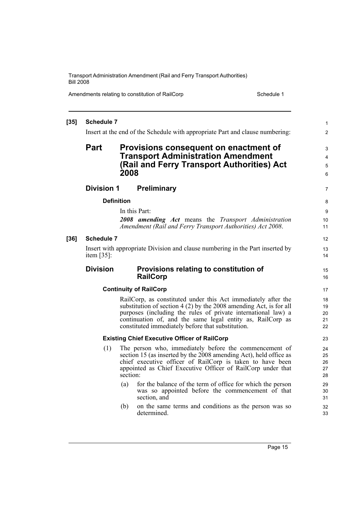Amendments relating to constitution of RailCorp Schedule 1

| $[35]$ | <b>Schedule 7</b> |                   |                                                                                                                 | $\mathbf{1}$   |
|--------|-------------------|-------------------|-----------------------------------------------------------------------------------------------------------------|----------------|
|        |                   |                   | Insert at the end of the Schedule with appropriate Part and clause numbering:                                   | $\overline{2}$ |
|        | Part              |                   | Provisions consequent on enactment of                                                                           | 3              |
|        |                   |                   | <b>Transport Administration Amendment</b>                                                                       | 4              |
|        |                   |                   | (Rail and Ferry Transport Authorities) Act                                                                      | 5              |
|        |                   | 2008              |                                                                                                                 | 6              |
|        | <b>Division 1</b> |                   | <b>Preliminary</b>                                                                                              | 7              |
|        |                   | <b>Definition</b> |                                                                                                                 | 8              |
|        |                   |                   | In this Part:                                                                                                   | 9              |
|        |                   |                   | 2008 amending Act means the Transport Administration                                                            | 10             |
|        |                   |                   | Amendment (Rail and Ferry Transport Authorities) Act 2008.                                                      | 11             |
| $[36]$ | <b>Schedule 7</b> |                   |                                                                                                                 | 12             |
|        |                   |                   | Insert with appropriate Division and clause numbering in the Part inserted by                                   | 13             |
|        | item $[35]$ :     |                   |                                                                                                                 | 14             |
|        | <b>Division</b>   |                   | Provisions relating to constitution of                                                                          | 15             |
|        |                   |                   | <b>RailCorp</b>                                                                                                 | 16             |
|        |                   |                   | <b>Continuity of RailCorp</b>                                                                                   | 17             |
|        |                   |                   | RailCorp, as constituted under this Act immediately after the                                                   | 18             |
|        |                   |                   | substitution of section $4(2)$ by the 2008 amending Act, is for all                                             | 19             |
|        |                   |                   | purposes (including the rules of private international law) a                                                   | 20             |
|        |                   |                   | continuation of, and the same legal entity as, RailCorp as<br>constituted immediately before that substitution. | 21<br>22       |
|        |                   |                   |                                                                                                                 |                |
|        |                   |                   | <b>Existing Chief Executive Officer of RailCorp</b>                                                             | 23             |
|        | (1)               |                   | The person who, immediately before the commencement of                                                          | 24             |
|        |                   |                   | section 15 (as inserted by the 2008 amending Act), held office as                                               | 25             |
|        |                   |                   | chief executive officer of RailCorp is taken to have been                                                       | 26             |
|        |                   | section:          | appointed as Chief Executive Officer of RailCorp under that                                                     | 27<br>28       |
|        |                   |                   |                                                                                                                 |                |
|        |                   | (a)               | for the balance of the term of office for which the person<br>was so appointed before the commencement of that  | 29<br>30       |
|        |                   |                   | section, and                                                                                                    | 31             |
|        |                   | (b)               | on the same terms and conditions as the person was so                                                           | 32             |
|        |                   |                   | determined.                                                                                                     | 33             |
|        |                   |                   |                                                                                                                 |                |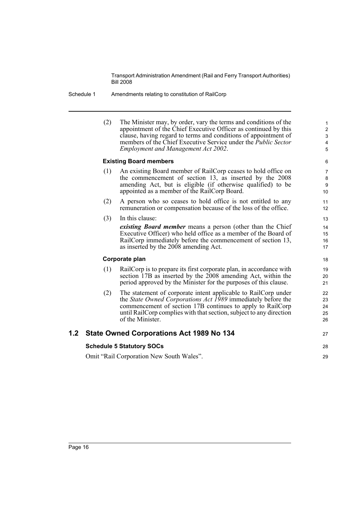#### Schedule 1 Amendments relating to constitution of RailCorp

(2) The Minister may, by order, vary the terms and conditions of the appointment of the Chief Executive Officer as continued by this clause, having regard to terms and conditions of appointment of members of the Chief Executive Service under the *Public Sector Employment and Management Act 2002*.

27

28 29

### **Existing Board members**

- (1) An existing Board member of RailCorp ceases to hold office on the commencement of section 13, as inserted by the 2008 amending Act, but is eligible (if otherwise qualified) to be appointed as a member of the RailCorp Board.
- (2) A person who so ceases to hold office is not entitled to any remuneration or compensation because of the loss of the office.
- (3) In this clause: *existing Board member* means a person (other than the Chief Executive Officer) who held office as a member of the Board of RailCorp immediately before the commencement of section 13, as inserted by the 2008 amending Act.

#### **Corporate plan**

- (1) RailCorp is to prepare its first corporate plan, in accordance with section 17B as inserted by the 2008 amending Act, within the period approved by the Minister for the purposes of this clause.
- (2) The statement of corporate intent applicable to RailCorp under the *State Owned Corporations Act 1989* immediately before the commencement of section 17B continues to apply to RailCorp until RailCorp complies with that section, subject to any direction of the Minister.

# **1.2 State Owned Corporations Act 1989 No 134**

#### **Schedule 5 Statutory SOCs**

Omit "Rail Corporation New South Wales".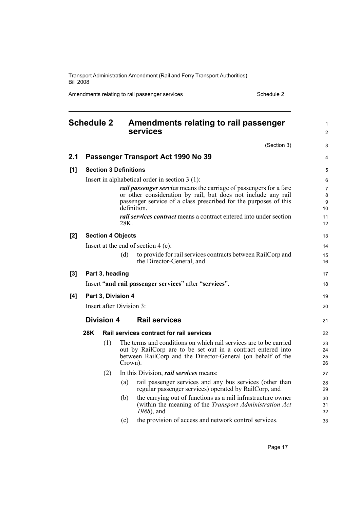Amendments relating to rail passenger services Schedule 2 Schedule 2

<span id="page-28-0"></span>

|     | <b>Schedule 2</b> |                              |         | Amendments relating to rail passenger<br>services                                                                                                                                                                             | 1<br>$\overline{c}$      |
|-----|-------------------|------------------------------|---------|-------------------------------------------------------------------------------------------------------------------------------------------------------------------------------------------------------------------------------|--------------------------|
|     |                   |                              |         | (Section 3)                                                                                                                                                                                                                   | 3                        |
| 2.1 |                   |                              |         | Passenger Transport Act 1990 No 39                                                                                                                                                                                            | 4                        |
| [1] |                   | <b>Section 3 Definitions</b> |         |                                                                                                                                                                                                                               | 5                        |
|     |                   |                              |         | Insert in alphabetical order in section $3(1)$ :                                                                                                                                                                              | 6                        |
|     |                   |                              |         | <i>rail passenger service</i> means the carriage of passengers for a fare<br>or other consideration by rail, but does not include any rail<br>passenger service of a class prescribed for the purposes of this<br>definition. | $\overline{7}$<br>8<br>9 |
|     |                   |                              | 28K.    | rail services contract means a contract entered into under section                                                                                                                                                            | 10<br>11<br>12           |
| [2] |                   | <b>Section 4 Objects</b>     |         |                                                                                                                                                                                                                               | 13                       |
|     |                   |                              |         | Insert at the end of section $4$ (c):                                                                                                                                                                                         | 14                       |
|     |                   |                              | (d)     | to provide for rail services contracts between RailCorp and<br>the Director-General, and                                                                                                                                      | 15<br>16                 |
| [3] |                   | Part 3, heading              |         |                                                                                                                                                                                                                               | 17                       |
|     |                   |                              |         | Insert "and rail passenger services" after "services".                                                                                                                                                                        | 18                       |
| [4] |                   | Part 3, Division 4           |         |                                                                                                                                                                                                                               | 19                       |
|     |                   | Insert after Division 3:     |         |                                                                                                                                                                                                                               | 20                       |
|     |                   | <b>Division 4</b>            |         | <b>Rail services</b>                                                                                                                                                                                                          | 21                       |
|     | 28K               |                              |         | <b>Rail services contract for rail services</b>                                                                                                                                                                               | 22                       |
|     |                   | (1)                          | Crown). | The terms and conditions on which rail services are to be carried<br>out by RailCorp are to be set out in a contract entered into<br>between RailCorp and the Director-General (on behalf of the                              | 23<br>24<br>25<br>26     |
|     |                   | (2)                          |         | In this Division, <i>rail services</i> means:                                                                                                                                                                                 | 27                       |
|     |                   |                              | (a)     | rail passenger services and any bus services (other than<br>regular passenger services) operated by RailCorp, and                                                                                                             | 28<br>29                 |
|     |                   |                              | (b)     | the carrying out of functions as a rail infrastructure owner<br>(within the meaning of the <i>Transport Administration Act</i><br>1988), and                                                                                  | 30<br>31<br>32           |
|     |                   |                              | (c)     | the provision of access and network control services.                                                                                                                                                                         | 33                       |
|     |                   |                              |         |                                                                                                                                                                                                                               |                          |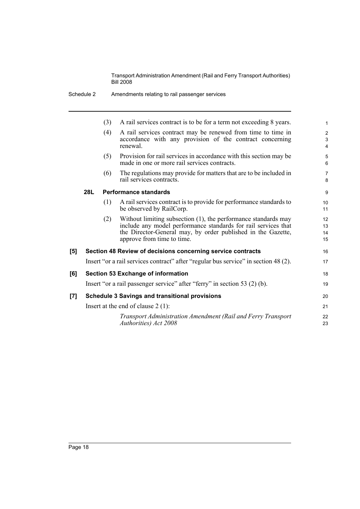|     |     | (3) | A rail services contract is to be for a term not exceeding 8 years.                                                                                                                                                            |                      |
|-----|-----|-----|--------------------------------------------------------------------------------------------------------------------------------------------------------------------------------------------------------------------------------|----------------------|
|     |     | (4) | A rail services contract may be renewed from time to time in<br>accordance with any provision of the contract concerning<br>renewal.                                                                                           |                      |
|     |     | (5) | Provision for rail services in accordance with this section may be<br>made in one or more rail services contracts.                                                                                                             |                      |
|     |     | (6) | The regulations may provide for matters that are to be included in<br>rail services contracts.                                                                                                                                 | 7<br>8               |
|     | 28L |     | <b>Performance standards</b>                                                                                                                                                                                                   | 9                    |
|     |     | (1) | A rail services contract is to provide for performance standards to<br>be observed by RailCorp.                                                                                                                                | 10<br>11             |
|     |     | (2) | Without limiting subsection (1), the performance standards may<br>include any model performance standards for rail services that<br>the Director-General may, by order published in the Gazette,<br>approve from time to time. | 12<br>13<br>14<br>15 |
| [5] |     |     | Section 48 Review of decisions concerning service contracts                                                                                                                                                                    | 16                   |
|     |     |     | Insert "or a rail services contract" after "regular bus service" in section 48 (2).                                                                                                                                            | 17                   |
| [6] |     |     | <b>Section 53 Exchange of information</b>                                                                                                                                                                                      | 18                   |
|     |     |     | Insert "or a rail passenger service" after "ferry" in section 53 (2) (b).                                                                                                                                                      | 19                   |
| [7] |     |     | <b>Schedule 3 Savings and transitional provisions</b>                                                                                                                                                                          | 20                   |
|     |     |     | Insert at the end of clause $2(1)$ :                                                                                                                                                                                           | 21                   |
|     |     |     | Transport Administration Amendment (Rail and Ferry Transport<br>Authorities) Act 2008                                                                                                                                          | 22<br>23             |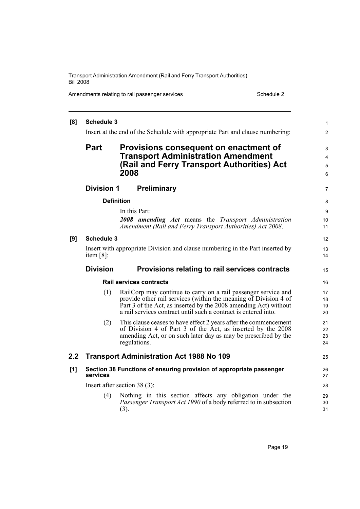Amendments relating to rail passenger services Schedule 2 Schedule 2

| [8] | <b>Schedule 3</b>                                                             |                                                                                                                           | $\mathbf{1}$   |  |  |  |  |  |
|-----|-------------------------------------------------------------------------------|---------------------------------------------------------------------------------------------------------------------------|----------------|--|--|--|--|--|
|     |                                                                               | Insert at the end of the Schedule with appropriate Part and clause numbering:                                             | $\overline{2}$ |  |  |  |  |  |
|     | <b>Part</b>                                                                   | Provisions consequent on enactment of                                                                                     | 3              |  |  |  |  |  |
|     |                                                                               | <b>Transport Administration Amendment</b>                                                                                 |                |  |  |  |  |  |
|     |                                                                               | (Rail and Ferry Transport Authorities) Act                                                                                | 5              |  |  |  |  |  |
|     |                                                                               | 2008                                                                                                                      | 6              |  |  |  |  |  |
|     | <b>Division 1</b>                                                             | Preliminary                                                                                                               | $\overline{7}$ |  |  |  |  |  |
|     |                                                                               | <b>Definition</b>                                                                                                         | 8              |  |  |  |  |  |
|     |                                                                               | In this Part:                                                                                                             | 9              |  |  |  |  |  |
|     |                                                                               | <b>2008</b> amending Act means the Transport Administration<br>Amendment (Rail and Ferry Transport Authorities) Act 2008. | 10<br>11       |  |  |  |  |  |
| [9] | <b>Schedule 3</b>                                                             |                                                                                                                           | 12             |  |  |  |  |  |
|     | Insert with appropriate Division and clause numbering in the Part inserted by |                                                                                                                           |                |  |  |  |  |  |
|     | item $[8]$ :                                                                  |                                                                                                                           |                |  |  |  |  |  |
|     |                                                                               | <b>Division</b><br>Provisions relating to rail services contracts                                                         |                |  |  |  |  |  |
|     |                                                                               |                                                                                                                           | 15             |  |  |  |  |  |
|     |                                                                               | <b>Rail services contracts</b>                                                                                            | 16             |  |  |  |  |  |
|     | (1)                                                                           | RailCorp may continue to carry on a rail passenger service and                                                            | 17             |  |  |  |  |  |
|     |                                                                               | provide other rail services (within the meaning of Division 4 of                                                          | 18             |  |  |  |  |  |
|     |                                                                               | Part 3 of the Act, as inserted by the 2008 amending Act) without                                                          |                |  |  |  |  |  |
|     |                                                                               | a rail services contract until such a contract is entered into.                                                           | 19<br>20       |  |  |  |  |  |
|     | (2)                                                                           | This clause ceases to have effect 2 years after the commencement                                                          | 21             |  |  |  |  |  |
|     |                                                                               | of Division 4 of Part 3 of the Act, as inserted by the 2008                                                               | 22<br>23       |  |  |  |  |  |
|     |                                                                               | amending Act, or on such later day as may be prescribed by the<br>regulations.                                            | 24             |  |  |  |  |  |
| 2.2 |                                                                               | <b>Transport Administration Act 1988 No 109</b>                                                                           | 25             |  |  |  |  |  |
| [1] | services                                                                      | Section 38 Functions of ensuring provision of appropriate passenger                                                       | 26<br>27       |  |  |  |  |  |
|     |                                                                               | Insert after section $38(3)$ :                                                                                            | 28             |  |  |  |  |  |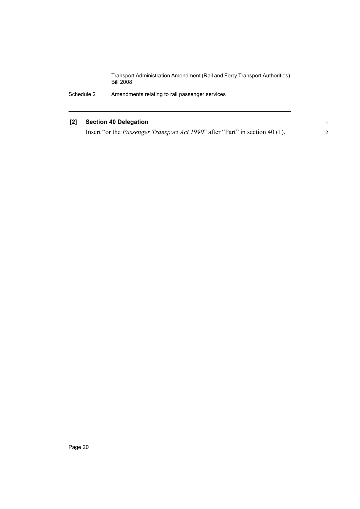> 1 2

## **[2] Section 40 Delegation**

Insert "or the *Passenger Transport Act 1990*" after "Part" in section 40 (1).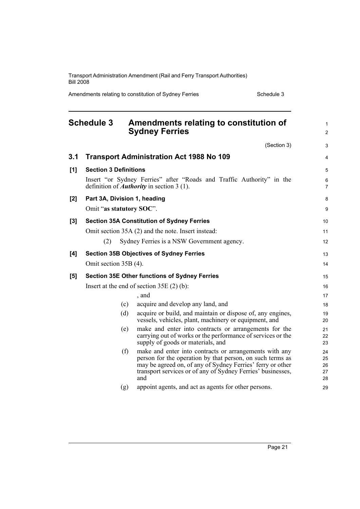Amendments relating to constitution of Sydney Ferries Schedule 3

<span id="page-32-0"></span>

|       | <b>Schedule 3</b>            |     | Amendments relating to constitution of<br><b>Sydney Ferries</b>                                                                                                                                                                                         | $\mathbf{1}$<br>$\overline{2}$ |
|-------|------------------------------|-----|---------------------------------------------------------------------------------------------------------------------------------------------------------------------------------------------------------------------------------------------------------|--------------------------------|
|       |                              |     | (Section 3)                                                                                                                                                                                                                                             | 3                              |
| 3.1   |                              |     | <b>Transport Administration Act 1988 No 109</b>                                                                                                                                                                                                         | 4                              |
| [1]   | <b>Section 3 Definitions</b> |     |                                                                                                                                                                                                                                                         | 5                              |
|       |                              |     | Insert "or Sydney Ferries" after "Roads and Traffic Authority" in the<br>definition of <i>Authority</i> in section $3(1)$ .                                                                                                                             | 6<br>$\overline{7}$            |
| [2]   |                              |     | Part 3A, Division 1, heading                                                                                                                                                                                                                            | 8                              |
|       | Omit "as statutory SOC".     |     |                                                                                                                                                                                                                                                         | 9                              |
| $[3]$ |                              |     | <b>Section 35A Constitution of Sydney Ferries</b>                                                                                                                                                                                                       | 10                             |
|       |                              |     | Omit section 35A (2) and the note. Insert instead:                                                                                                                                                                                                      | 11                             |
|       | (2)                          |     | Sydney Ferries is a NSW Government agency.                                                                                                                                                                                                              | 12                             |
| [4]   |                              |     | <b>Section 35B Objectives of Sydney Ferries</b>                                                                                                                                                                                                         | 13                             |
|       | Omit section 35B (4).        |     |                                                                                                                                                                                                                                                         | 14                             |
| [5]   |                              |     | <b>Section 35E Other functions of Sydney Ferries</b>                                                                                                                                                                                                    | 15                             |
|       |                              |     | Insert at the end of section $35E(2)$ (b):                                                                                                                                                                                                              | 16                             |
|       |                              |     | , and                                                                                                                                                                                                                                                   | 17                             |
|       |                              | (c) | acquire and develop any land, and                                                                                                                                                                                                                       | 18                             |
|       |                              | (d) | acquire or build, and maintain or dispose of, any engines,<br>vessels, vehicles, plant, machinery or equipment, and                                                                                                                                     | 19<br>20                       |
|       |                              | (e) | make and enter into contracts or arrangements for the<br>carrying out of works or the performance of services or the<br>supply of goods or materials, and                                                                                               | 21<br>22<br>23                 |
|       |                              | (f) | make and enter into contracts or arrangements with any<br>person for the operation by that person, on such terms as<br>may be agreed on, of any of Sydney Ferries' ferry or other<br>transport services or of any of Sydney Ferries' businesses,<br>and | 24<br>25<br>26<br>27<br>28     |
|       |                              | (g) | appoint agents, and act as agents for other persons.                                                                                                                                                                                                    | 29                             |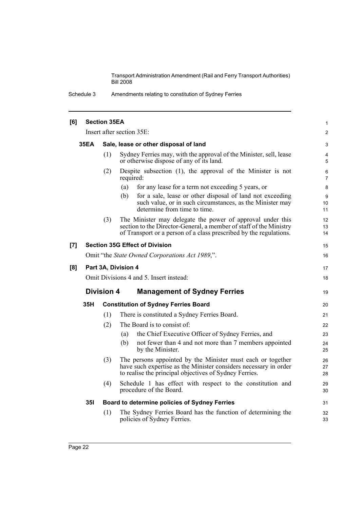Schedule 3 Amendments relating to constitution of Sydney Ferries

| [6] |                                                                                                                                                                                                  | <b>Section 35EA</b> |                                                                                                                                                                                                        |                     |  |  |
|-----|--------------------------------------------------------------------------------------------------------------------------------------------------------------------------------------------------|---------------------|--------------------------------------------------------------------------------------------------------------------------------------------------------------------------------------------------------|---------------------|--|--|
|     |                                                                                                                                                                                                  |                     | Insert after section 35E:                                                                                                                                                                              | 2                   |  |  |
|     | <b>35EA</b><br>Sale, lease or other disposal of land                                                                                                                                             |                     |                                                                                                                                                                                                        | 3                   |  |  |
|     |                                                                                                                                                                                                  | (1)                 | Sydney Ferries may, with the approval of the Minister, sell, lease<br>or otherwise dispose of any of its land.                                                                                         | 4<br>5              |  |  |
|     |                                                                                                                                                                                                  | (2)                 | Despite subsection $(1)$ , the approval of the Minister is not<br>required:                                                                                                                            | 6<br>$\overline{7}$ |  |  |
|     |                                                                                                                                                                                                  |                     | (a)<br>for any lease for a term not exceeding 5 years, or                                                                                                                                              | 8                   |  |  |
|     |                                                                                                                                                                                                  |                     | for a sale, lease or other disposal of land not exceeding<br>(b)<br>such value, or in such circumstances, as the Minister may<br>determine from time to time.                                          | 9<br>10<br>11       |  |  |
|     |                                                                                                                                                                                                  | (3)                 | The Minister may delegate the power of approval under this<br>section to the Director-General, a member of staff of the Ministry<br>of Transport or a person of a class prescribed by the regulations. | 12<br>13<br>14      |  |  |
| [7] |                                                                                                                                                                                                  |                     | <b>Section 35G Effect of Division</b>                                                                                                                                                                  | 15                  |  |  |
|     |                                                                                                                                                                                                  |                     | Omit "the State Owned Corporations Act 1989,".                                                                                                                                                         | 16                  |  |  |
| [8] |                                                                                                                                                                                                  |                     | Part 3A, Division 4                                                                                                                                                                                    | 17                  |  |  |
|     |                                                                                                                                                                                                  |                     | Omit Divisions 4 and 5. Insert instead:                                                                                                                                                                | 18                  |  |  |
|     |                                                                                                                                                                                                  | <b>Division 4</b>   | <b>Management of Sydney Ferries</b>                                                                                                                                                                    | 19                  |  |  |
|     | 35H                                                                                                                                                                                              |                     | <b>Constitution of Sydney Ferries Board</b>                                                                                                                                                            | 20                  |  |  |
|     |                                                                                                                                                                                                  | (1)                 | There is constituted a Sydney Ferries Board.                                                                                                                                                           | 21                  |  |  |
|     |                                                                                                                                                                                                  | (2)                 | The Board is to consist of:                                                                                                                                                                            | 22                  |  |  |
|     |                                                                                                                                                                                                  |                     | the Chief Executive Officer of Sydney Ferries, and<br>(a)                                                                                                                                              | 23                  |  |  |
|     |                                                                                                                                                                                                  |                     | not fewer than 4 and not more than 7 members appointed<br>(b)<br>by the Minister.                                                                                                                      | 24<br>25            |  |  |
|     | (3)<br>The persons appointed by the Minister must each or together<br>have such expertise as the Minister considers necessary in order<br>to realise the principal objectives of Sydney Ferries. |                     |                                                                                                                                                                                                        |                     |  |  |
|     |                                                                                                                                                                                                  | (4)                 | Schedule 1 has effect with respect to the constitution and<br>procedure of the Board.                                                                                                                  | 29<br>30            |  |  |
|     | <b>351</b>                                                                                                                                                                                       |                     | Board to determine policies of Sydney Ferries                                                                                                                                                          | 31                  |  |  |
|     |                                                                                                                                                                                                  | (1)                 | The Sydney Ferries Board has the function of determining the<br>policies of Sydney Ferries.                                                                                                            | 32<br>33            |  |  |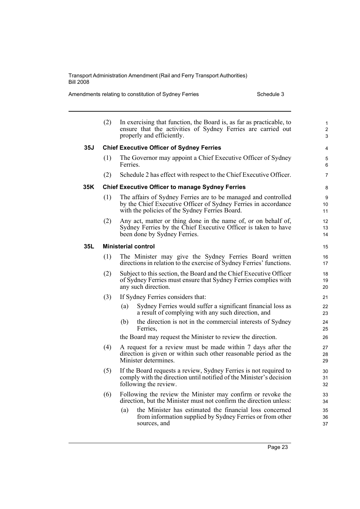Amendments relating to constitution of Sydney Ferries Schedule 3

|     | (2) |                                                                                                                                                                  | In exercising that function, the Board is, as far as practicable, to<br>ensure that the activities of Sydney Ferries are carried out<br>properly and efficiently.                  | $\mathbf{1}$<br>2<br>3 |  |  |  |  |
|-----|-----|------------------------------------------------------------------------------------------------------------------------------------------------------------------|------------------------------------------------------------------------------------------------------------------------------------------------------------------------------------|------------------------|--|--|--|--|
| 35J |     |                                                                                                                                                                  | <b>Chief Executive Officer of Sydney Ferries</b>                                                                                                                                   | 4                      |  |  |  |  |
|     | (1) | Ferries.                                                                                                                                                         | The Governor may appoint a Chief Executive Officer of Sydney                                                                                                                       | 5<br>6                 |  |  |  |  |
|     | (2) |                                                                                                                                                                  | Schedule 2 has effect with respect to the Chief Executive Officer.                                                                                                                 | $\overline{7}$         |  |  |  |  |
| 35K |     |                                                                                                                                                                  | <b>Chief Executive Officer to manage Sydney Ferries</b>                                                                                                                            | 8                      |  |  |  |  |
|     | (1) |                                                                                                                                                                  | The affairs of Sydney Ferries are to be managed and controlled<br>by the Chief Executive Officer of Sydney Ferries in accordance<br>with the policies of the Sydney Ferries Board. | 9<br>10<br>11          |  |  |  |  |
|     | (2) | Any act, matter or thing done in the name of, or on behalf of,<br>Sydney Ferries by the Chief Executive Officer is taken to have<br>been done by Sydney Ferries. |                                                                                                                                                                                    |                        |  |  |  |  |
| 35L |     |                                                                                                                                                                  | <b>Ministerial control</b>                                                                                                                                                         | 15                     |  |  |  |  |
|     | (1) |                                                                                                                                                                  | The Minister may give the Sydney Ferries Board written<br>directions in relation to the exercise of Sydney Ferries' functions.                                                     | 16<br>17               |  |  |  |  |
|     | (2) |                                                                                                                                                                  | Subject to this section, the Board and the Chief Executive Officer<br>of Sydney Ferries must ensure that Sydney Ferries complies with<br>any such direction.                       | 18<br>19<br>20         |  |  |  |  |
|     | (3) |                                                                                                                                                                  | If Sydney Ferries considers that:                                                                                                                                                  | 21                     |  |  |  |  |
|     |     | (a)                                                                                                                                                              | Sydney Ferries would suffer a significant financial loss as<br>a result of complying with any such direction, and                                                                  | 22<br>23               |  |  |  |  |
|     |     | (b)                                                                                                                                                              | the direction is not in the commercial interests of Sydney<br>Ferries,                                                                                                             | 24<br>25               |  |  |  |  |
|     |     |                                                                                                                                                                  | the Board may request the Minister to review the direction.                                                                                                                        | 26                     |  |  |  |  |
|     | (4) |                                                                                                                                                                  | A request for a review must be made within 7 days after the<br>direction is given or within such other reasonable period as the<br>Minister determines.                            | 27<br>28<br>29         |  |  |  |  |
|     | (5) |                                                                                                                                                                  | If the Board requests a review, Sydney Ferries is not required to<br>comply with the direction until notified of the Minister's decision<br>following the review.                  | 30<br>31<br>32         |  |  |  |  |
|     | (6) |                                                                                                                                                                  | Following the review the Minister may confirm or revoke the<br>direction, but the Minister must not confirm the direction unless:                                                  | 33<br>34               |  |  |  |  |
|     |     | (a)                                                                                                                                                              | the Minister has estimated the financial loss concerned<br>from information supplied by Sydney Ferries or from other<br>sources, and                                               | 35<br>36<br>37         |  |  |  |  |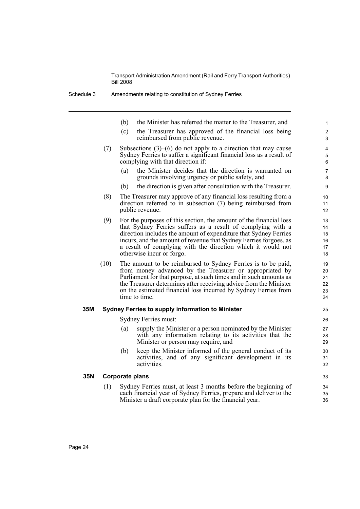- (b) the Minister has referred the matter to the Treasurer, and
- (c) the Treasurer has approved of the financial loss being reimbursed from public revenue.

- (7) Subsections (3)–(6) do not apply to a direction that may cause Sydney Ferries to suffer a significant financial loss as a result of complying with that direction if:
	- (a) the Minister decides that the direction is warranted on grounds involving urgency or public safety, and
	- (b) the direction is given after consultation with the Treasurer.
- (8) The Treasurer may approve of any financial loss resulting from a direction referred to in subsection (7) being reimbursed from public revenue.
- (9) For the purposes of this section, the amount of the financial loss that Sydney Ferries suffers as a result of complying with a direction includes the amount of expenditure that Sydney Ferries incurs, and the amount of revenue that Sydney Ferries forgoes, as a result of complying with the direction which it would not otherwise incur or forgo.
- (10) The amount to be reimbursed to Sydney Ferries is to be paid, from money advanced by the Treasurer or appropriated by Parliament for that purpose, at such times and in such amounts as the Treasurer determines after receiving advice from the Minister on the estimated financial loss incurred by Sydney Ferries from time to time.

#### **35M Sydney Ferries to supply information to Minister**

Sydney Ferries must:

- (a) supply the Minister or a person nominated by the Minister with any information relating to its activities that the Minister or person may require, and
- (b) keep the Minister informed of the general conduct of its activities, and of any significant development in its activities.

### **35N Corporate plans**

(1) Sydney Ferries must, at least 3 months before the beginning of each financial year of Sydney Ferries, prepare and deliver to the Minister a draft corporate plan for the financial year.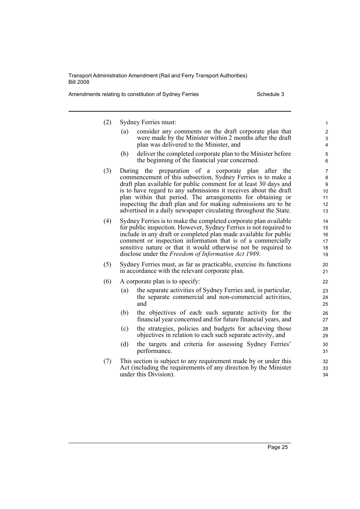Amendments relating to constitution of Sydney Ferries Schedule 3

(2) Sydney Ferries must: (a) consider any comments on the draft corporate plan that were made by the Minister within 2 months after the draft plan was delivered to the Minister, and (b) deliver the completed corporate plan to the Minister before the beginning of the financial year concerned. (3) During the preparation of a corporate plan after the commencement of this subsection, Sydney Ferries is to make a draft plan available for public comment for at least 30 days and is to have regard to any submissions it receives about the draft plan within that period. The arrangements for obtaining or inspecting the draft plan and for making submissions are to be advertised in a daily newspaper circulating throughout the State. (4) Sydney Ferries is to make the completed corporate plan available for public inspection. However, Sydney Ferries is not required to include in any draft or completed plan made available for public comment or inspection information that is of a commercially sensitive nature or that it would otherwise not be required to disclose under the *Freedom of Information Act 1989*. (5) Sydney Ferries must, as far as practicable, exercise its functions in accordance with the relevant corporate plan. (6) A corporate plan is to specify: (a) the separate activities of Sydney Ferries and, in particular, the separate commercial and non-commercial activities, and (b) the objectives of each such separate activity for the financial year concerned and for future financial years, and (c) the strategies, policies and budgets for achieving those objectives in relation to each such separate activity, and (d) the targets and criteria for assessing Sydney Ferries' performance. (7) This section is subject to any requirement made by or under this Act (including the requirements of any direction by the Minister under this Division). 1 2 3 4 5 6 7 8 9  $10$ 11 12 13 14 15 16 17 18 19 20 21 22 23 24 25 26 27  $28$ 29 30 31 32 33 34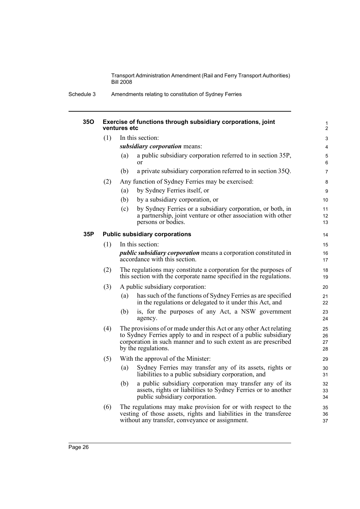Schedule 3 Amendments relating to constitution of Sydney Ferries

| 35O |     | Exercise of functions through subsidiary corporations, joint<br>ventures etc                                                                                                                                                     | 1<br>$\overline{2}$  |
|-----|-----|----------------------------------------------------------------------------------------------------------------------------------------------------------------------------------------------------------------------------------|----------------------|
|     | (1) | In this section:                                                                                                                                                                                                                 | 3                    |
|     |     | subsidiary corporation means:                                                                                                                                                                                                    | 4                    |
|     |     | a public subsidiary corporation referred to in section 35P,<br>(a)<br><sub>or</sub>                                                                                                                                              | 5<br>6               |
|     |     | a private subsidiary corporation referred to in section 35Q.<br>(b)                                                                                                                                                              | 7                    |
|     | (2) | Any function of Sydney Ferries may be exercised:                                                                                                                                                                                 | 8                    |
|     |     | by Sydney Ferries itself, or<br>(a)                                                                                                                                                                                              | 9                    |
|     |     | by a subsidiary corporation, or<br>(b)                                                                                                                                                                                           | 10                   |
|     |     | by Sydney Ferries or a subsidiary corporation, or both, in<br>(c)<br>a partnership, joint venture or other association with other<br>persons or bodies.                                                                          | 11<br>12<br>13       |
| 35P |     | <b>Public subsidiary corporations</b>                                                                                                                                                                                            | 14                   |
|     | (1) | In this section:                                                                                                                                                                                                                 | 15                   |
|     |     | <i>public subsidiary corporation</i> means a corporation constituted in<br>accordance with this section.                                                                                                                         | 16<br>17             |
|     | (2) | The regulations may constitute a corporation for the purposes of<br>this section with the corporate name specified in the regulations.                                                                                           | 18<br>19             |
|     | (3) | A public subsidiary corporation:                                                                                                                                                                                                 | 20                   |
|     |     | has such of the functions of Sydney Ferries as are specified<br>(a)<br>in the regulations or delegated to it under this Act, and                                                                                                 | 21<br>22             |
|     |     | is, for the purposes of any Act, a NSW government<br>(b)<br>agency.                                                                                                                                                              | 23<br>24             |
|     | (4) | The provisions of or made under this Act or any other Act relating<br>to Sydney Ferries apply to and in respect of a public subsidiary<br>corporation in such manner and to such extent as are prescribed<br>by the regulations. | 25<br>26<br>27<br>28 |
|     | (5) | With the approval of the Minister:                                                                                                                                                                                               | 29                   |
|     |     | Sydney Ferries may transfer any of its assets, rights or<br>(a)<br>liabilities to a public subsidiary corporation, and                                                                                                           | 30<br>31             |
|     |     | a public subsidiary corporation may transfer any of its<br>(b)<br>assets, rights or liabilities to Sydney Ferries or to another<br>public subsidiary corporation.                                                                | 32<br>33<br>34       |
|     | (6) | The regulations may make provision for or with respect to the<br>vesting of those assets, rights and liabilities in the transferee<br>without any transfer, conveyance or assignment.                                            | 35<br>36<br>37       |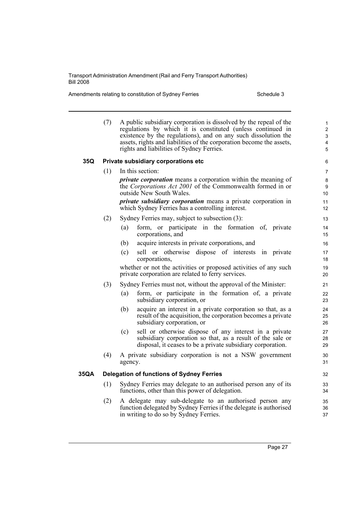Amendments relating to constitution of Sydney Ferries Schedule 3

|      | (7)<br>A public subsidiary corporation is dissolved by the repeal of the<br>regulations by which it is constituted (unless continued in<br>existence by the regulations), and on any such dissolution the<br>assets, rights and liabilities of the corporation become the assets,<br>rights and liabilities of Sydney Ferries. |                                                                                                                                                                                                                                        |  |  |  |
|------|--------------------------------------------------------------------------------------------------------------------------------------------------------------------------------------------------------------------------------------------------------------------------------------------------------------------------------|----------------------------------------------------------------------------------------------------------------------------------------------------------------------------------------------------------------------------------------|--|--|--|
| 35Q  |                                                                                                                                                                                                                                                                                                                                | Private subsidiary corporations etc                                                                                                                                                                                                    |  |  |  |
|      | (1)                                                                                                                                                                                                                                                                                                                            | In this section:                                                                                                                                                                                                                       |  |  |  |
|      |                                                                                                                                                                                                                                                                                                                                | <i>private corporation</i> means a corporation within the meaning of<br>the Corporations Act 2001 of the Commonwealth formed in or<br>outside New South Wales.<br><i>private subsidiary corporation</i> means a private corporation in |  |  |  |
|      |                                                                                                                                                                                                                                                                                                                                | which Sydney Ferries has a controlling interest.                                                                                                                                                                                       |  |  |  |
|      | (2)                                                                                                                                                                                                                                                                                                                            | Sydney Ferries may, subject to subsection (3):                                                                                                                                                                                         |  |  |  |
|      |                                                                                                                                                                                                                                                                                                                                | form, or participate in the formation of, private<br>(a)<br>corporations, and                                                                                                                                                          |  |  |  |
|      |                                                                                                                                                                                                                                                                                                                                | acquire interests in private corporations, and<br>(b)                                                                                                                                                                                  |  |  |  |
|      |                                                                                                                                                                                                                                                                                                                                | (c)<br>sell or otherwise dispose of interests in private<br>corporations,                                                                                                                                                              |  |  |  |
|      |                                                                                                                                                                                                                                                                                                                                | whether or not the activities or proposed activities of any such<br>private corporation are related to ferry services.                                                                                                                 |  |  |  |
|      | (3)                                                                                                                                                                                                                                                                                                                            | Sydney Ferries must not, without the approval of the Minister:                                                                                                                                                                         |  |  |  |
|      |                                                                                                                                                                                                                                                                                                                                | form, or participate in the formation of, a private<br>(a)<br>subsidiary corporation, or                                                                                                                                               |  |  |  |
|      |                                                                                                                                                                                                                                                                                                                                | acquire an interest in a private corporation so that, as a<br>(b)<br>result of the acquisition, the corporation becomes a private<br>subsidiary corporation, or                                                                        |  |  |  |
|      |                                                                                                                                                                                                                                                                                                                                | sell or otherwise dispose of any interest in a private<br>(c)<br>subsidiary corporation so that, as a result of the sale or<br>disposal, it ceases to be a private subsidiary corporation.                                             |  |  |  |
|      | (4)                                                                                                                                                                                                                                                                                                                            | A private subsidiary corporation is not a NSW government<br>agency.                                                                                                                                                                    |  |  |  |
| 35QA |                                                                                                                                                                                                                                                                                                                                | <b>Delegation of functions of Sydney Ferries</b>                                                                                                                                                                                       |  |  |  |
|      | (1)                                                                                                                                                                                                                                                                                                                            | Sydney Ferries may delegate to an authorised person any of its<br>functions, other than this power of delegation.                                                                                                                      |  |  |  |
|      | (2)                                                                                                                                                                                                                                                                                                                            | A delegate may sub-delegate to an authorised person any<br>function delegated by Sydney Ferries if the delegate is authorised<br>in writing to do so by Sydney Ferries.                                                                |  |  |  |

Page 27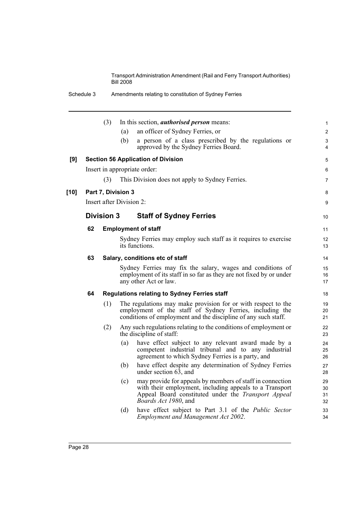|      |    | (3)                      |     | In this section, <i>authorised person</i> means:                                                                                                                                                                   | $\mathbf{1}$         |
|------|----|--------------------------|-----|--------------------------------------------------------------------------------------------------------------------------------------------------------------------------------------------------------------------|----------------------|
|      |    |                          | (a) | an officer of Sydney Ferries, or                                                                                                                                                                                   | $\overline{c}$       |
|      |    |                          | (b) | a person of a class prescribed by the regulations or<br>approved by the Sydney Ferries Board.                                                                                                                      | 3<br>4               |
| [9]  |    |                          |     | <b>Section 56 Application of Division</b>                                                                                                                                                                          | 5                    |
|      |    |                          |     | Insert in appropriate order:                                                                                                                                                                                       | 6                    |
|      |    | (3)                      |     | This Division does not apply to Sydney Ferries.                                                                                                                                                                    | $\overline{7}$       |
| [10] |    | Part 7, Division 3       |     |                                                                                                                                                                                                                    | 8                    |
|      |    | Insert after Division 2: |     |                                                                                                                                                                                                                    | 9                    |
|      |    | <b>Division 3</b>        |     | <b>Staff of Sydney Ferries</b>                                                                                                                                                                                     | 10                   |
|      | 62 |                          |     | <b>Employment of staff</b>                                                                                                                                                                                         | 11                   |
|      |    |                          |     | Sydney Ferries may employ such staff as it requires to exercise<br>its functions.                                                                                                                                  | 12<br>13             |
|      | 63 |                          |     | Salary, conditions etc of staff                                                                                                                                                                                    | 14                   |
|      |    |                          |     | Sydney Ferries may fix the salary, wages and conditions of<br>employment of its staff in so far as they are not fixed by or under<br>any other Act or law.                                                         | 15<br>16<br>17       |
|      | 64 |                          |     | <b>Regulations relating to Sydney Ferries staff</b>                                                                                                                                                                | 18                   |
|      |    | (1)                      |     | The regulations may make provision for or with respect to the<br>employment of the staff of Sydney Ferries, including the<br>conditions of employment and the discipline of any such staff.                        | 19<br>20<br>21       |
|      |    | (2)                      |     | Any such regulations relating to the conditions of employment or<br>the discipline of staff:                                                                                                                       | 22<br>23             |
|      |    |                          | (a) | have effect subject to any relevant award made by a<br>competent industrial tribunal and to any industrial<br>agreement to which Sydney Ferries is a party, and                                                    | 24<br>25<br>26       |
|      |    |                          | (b) | have effect despite any determination of Sydney Ferries<br>under section $6\overline{3}$ , and                                                                                                                     | 27<br>28             |
|      |    |                          | (c) | may provide for appeals by members of staff in connection<br>with their employment, including appeals to a Transport<br>Appeal Board constituted under the <i>Transport Appeal</i><br><i>Boards Act 1980</i> , and | 29<br>30<br>31<br>32 |
|      |    |                          | (d) | have effect subject to Part 3.1 of the <i>Public Sector</i><br><b>Employment and Management Act 2002.</b>                                                                                                          | 33<br>34             |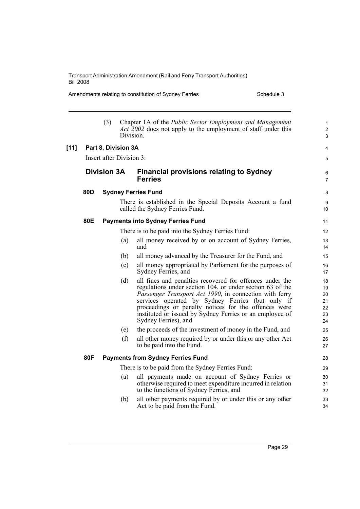Amendments relating to constitution of Sydney Ferries Schedule 3

|        |     | (3)                      |     | Chapter 1A of the Public Sector Employment and Management<br><i>Act</i> 2002 does not apply to the employment of staff under this<br>Division.                                                                                                                                                                                                                                  | $\mathbf{1}$<br>$\overline{c}$<br>$\mathfrak{S}$ |
|--------|-----|--------------------------|-----|---------------------------------------------------------------------------------------------------------------------------------------------------------------------------------------------------------------------------------------------------------------------------------------------------------------------------------------------------------------------------------|--------------------------------------------------|
| $[11]$ |     | Part 8, Division 3A      |     |                                                                                                                                                                                                                                                                                                                                                                                 | 4                                                |
|        |     | Insert after Division 3: |     |                                                                                                                                                                                                                                                                                                                                                                                 | 5                                                |
|        |     | <b>Division 3A</b>       |     | <b>Financial provisions relating to Sydney</b><br><b>Ferries</b>                                                                                                                                                                                                                                                                                                                | 6<br>$\overline{7}$                              |
|        | 80D |                          |     | <b>Sydney Ferries Fund</b>                                                                                                                                                                                                                                                                                                                                                      | 8                                                |
|        |     |                          |     | There is established in the Special Deposits Account a fund<br>called the Sydney Ferries Fund.                                                                                                                                                                                                                                                                                  | 9<br>10                                          |
|        | 80E |                          |     | <b>Payments into Sydney Ferries Fund</b>                                                                                                                                                                                                                                                                                                                                        | 11                                               |
|        |     |                          |     | There is to be paid into the Sydney Ferries Fund:                                                                                                                                                                                                                                                                                                                               | 12                                               |
|        |     |                          | (a) | all money received by or on account of Sydney Ferries,<br>and                                                                                                                                                                                                                                                                                                                   | 13<br>14                                         |
|        |     |                          | (b) | all money advanced by the Treasurer for the Fund, and                                                                                                                                                                                                                                                                                                                           | 15                                               |
|        |     |                          | (c) | all money appropriated by Parliament for the purposes of<br>Sydney Ferries, and                                                                                                                                                                                                                                                                                                 | 16<br>17                                         |
|        |     |                          | (d) | all fines and penalties recovered for offences under the<br>regulations under section 104, or under section 63 of the<br>Passenger Transport Act 1990, in connection with ferry<br>services operated by Sydney Ferries (but only if<br>proceedings or penalty notices for the offences were<br>instituted or issued by Sydney Ferries or an employee of<br>Sydney Ferries), and | 18<br>19<br>20<br>21<br>22<br>23<br>24           |
|        |     |                          | (e) | the proceeds of the investment of money in the Fund, and                                                                                                                                                                                                                                                                                                                        | 25                                               |
|        |     |                          | (f) | all other money required by or under this or any other Act<br>to be paid into the Fund.                                                                                                                                                                                                                                                                                         | 26<br>27                                         |
|        | 80F |                          |     | <b>Payments from Sydney Ferries Fund</b>                                                                                                                                                                                                                                                                                                                                        | 28                                               |
|        |     |                          |     | There is to be paid from the Sydney Ferries Fund:                                                                                                                                                                                                                                                                                                                               | 29                                               |
|        |     |                          | (a) | all payments made on account of Sydney Ferries or<br>otherwise required to meet expenditure incurred in relation<br>to the functions of Sydney Ferries, and                                                                                                                                                                                                                     | 30<br>31<br>32                                   |
|        |     |                          | (b) | all other payments required by or under this or any other<br>Act to be paid from the Fund.                                                                                                                                                                                                                                                                                      | 33<br>34                                         |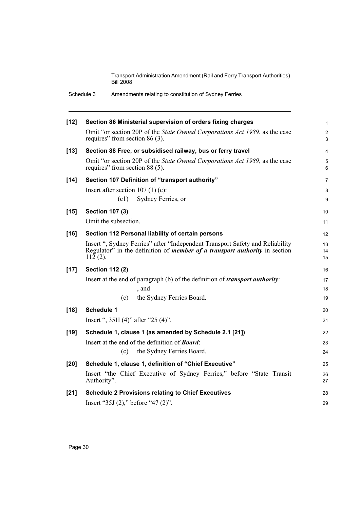|        | Schedule 3<br>Amendments relating to constitution of Sydney Ferries                                                                                                              |                     |
|--------|----------------------------------------------------------------------------------------------------------------------------------------------------------------------------------|---------------------|
| $[12]$ | Section 86 Ministerial supervision of orders fixing charges                                                                                                                      | $\mathbf{1}$        |
|        | Omit "or section 20P of the State Owned Corporations Act 1989, as the case<br>requires" from section $86(3)$ .                                                                   | $\overline{2}$<br>3 |
| $[13]$ | Section 88 Free, or subsidised railway, bus or ferry travel                                                                                                                      | 4                   |
|        | Omit "or section 20P of the State Owned Corporations Act 1989, as the case<br>requires" from section 88 (5).                                                                     | 5<br>6              |
| $[14]$ | Section 107 Definition of "transport authority"                                                                                                                                  | 7                   |
|        | Insert after section $107(1)(c)$ :                                                                                                                                               | 8                   |
|        | Sydney Ferries, or<br>(c1)                                                                                                                                                       | 9                   |
| $[15]$ | <b>Section 107 (3)</b>                                                                                                                                                           | 10                  |
|        | Omit the subsection.                                                                                                                                                             | 11                  |
| $[16]$ | Section 112 Personal liability of certain persons                                                                                                                                | 12                  |
|        | Insert ", Sydney Ferries" after "Independent Transport Safety and Reliability<br>Regulator" in the definition of <i>member of a transport authority</i> in section<br>$112(2)$ . | 13<br>14<br>15      |
| $[17]$ | <b>Section 112 (2)</b>                                                                                                                                                           | 16                  |
|        | Insert at the end of paragraph (b) of the definition of <i>transport authority</i> :                                                                                             | 17                  |
|        | , and                                                                                                                                                                            | 18                  |
|        | the Sydney Ferries Board.<br>(c)                                                                                                                                                 | 19                  |
| $[18]$ | <b>Schedule 1</b>                                                                                                                                                                | 20                  |
|        | Insert ", $35H(4)$ " after " $25(4)$ ".                                                                                                                                          | 21                  |
| $[19]$ | Schedule 1, clause 1 (as amended by Schedule 2.1 [21])                                                                                                                           | 22                  |
|        | Insert at the end of the definition of <b>Board</b> :                                                                                                                            | 23                  |
|        | the Sydney Ferries Board.<br>(c)                                                                                                                                                 | 24                  |
| $[20]$ | Schedule 1, clause 1, definition of "Chief Executive"                                                                                                                            | 25                  |
|        | Insert "the Chief Executive of Sydney Ferries," before "State Transit<br>Authority".                                                                                             | 26<br>27            |
| $[21]$ | <b>Schedule 2 Provisions relating to Chief Executives</b>                                                                                                                        | 28                  |
|        | Insert "35J $(2)$ ," before "47 $(2)$ ".                                                                                                                                         | 29                  |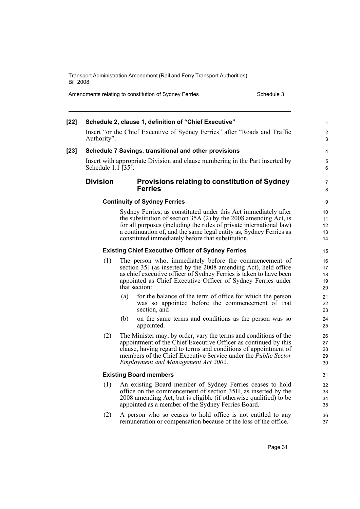Amendments relating to constitution of Sydney Ferries Schedule 3

| $[22]$ |                    | Schedule 2, clause 1, definition of "Chief Executive"                                                                                                                                                                                                                                                                                  | 1                            |
|--------|--------------------|----------------------------------------------------------------------------------------------------------------------------------------------------------------------------------------------------------------------------------------------------------------------------------------------------------------------------------------|------------------------------|
|        | Authority".        | Insert "or the Chief Executive of Sydney Ferries" after "Roads and Traffic                                                                                                                                                                                                                                                             | $\overline{\mathbf{c}}$<br>3 |
| $[23]$ |                    | Schedule 7 Savings, transitional and other provisions                                                                                                                                                                                                                                                                                  | 4                            |
|        | Schedule 1.1 [35]: | Insert with appropriate Division and clause numbering in the Part inserted by                                                                                                                                                                                                                                                          | 5<br>6                       |
|        | <b>Division</b>    | Provisions relating to constitution of Sydney<br><b>Ferries</b>                                                                                                                                                                                                                                                                        | 7<br>8                       |
|        |                    | <b>Continuity of Sydney Ferries</b>                                                                                                                                                                                                                                                                                                    | 9                            |
|        |                    | Sydney Ferries, as constituted under this Act immediately after<br>the substitution of section $35A(2)$ by the 2008 amending Act, is<br>for all purposes (including the rules of private international law)<br>a continuation of, and the same legal entity as, Sydney Ferries as<br>constituted immediately before that substitution. | 10<br>11<br>12<br>13<br>14   |
|        |                    | <b>Existing Chief Executive Officer of Sydney Ferries</b>                                                                                                                                                                                                                                                                              | 15                           |
|        | (1)                | The person who, immediately before the commencement of<br>section 35J (as inserted by the 2008 amending Act), held office<br>as chief executive officer of Sydney Ferries is taken to have been<br>appointed as Chief Executive Officer of Sydney Ferries under<br>that section:                                                       | 16<br>17<br>18<br>19<br>20   |
|        |                    | for the balance of the term of office for which the person<br>(a)<br>was so appointed before the commencement of that<br>section, and                                                                                                                                                                                                  | 21<br>22<br>23               |
|        |                    | (b)<br>on the same terms and conditions as the person was so<br>appointed.                                                                                                                                                                                                                                                             | 24<br>25                     |
|        | (2)                | The Minister may, by order, vary the terms and conditions of the<br>appointment of the Chief Executive Officer as continued by this<br>clause, having regard to terms and conditions of appointment of<br>members of the Chief Executive Service under the <i>Public Sector</i><br><b>Employment and Management Act 2002.</b>          | 26<br>27<br>28<br>29<br>30   |
|        |                    | <b>Existing Board members</b>                                                                                                                                                                                                                                                                                                          | 31                           |
|        |                    | (1) An existing Board member of Sydney Ferries ceases to hold<br>office on the commencement of section 35H, as inserted by the<br>2008 amending Act, but is eligible (if otherwise qualified) to be<br>appointed as a member of the Sydney Ferries Board.                                                                              | 32<br>33<br>34<br>35         |
|        | (2)                | A person who so ceases to hold office is not entitled to any<br>remuneration or compensation because of the loss of the office.                                                                                                                                                                                                        | 36<br>37                     |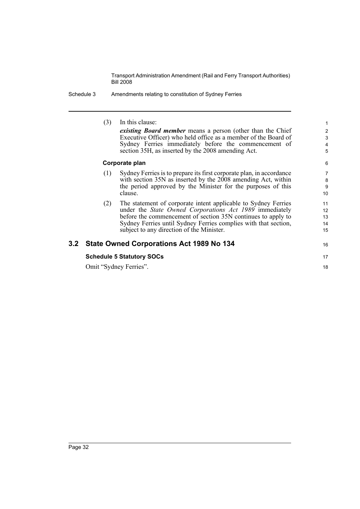Schedule 3 Amendments relating to constitution of Sydney Ferries

|     | (3) | In this clause:                                                      | $\mathbf{1}$     |
|-----|-----|----------------------------------------------------------------------|------------------|
|     |     | existing Board member means a person (other than the Chief           | $\overline{2}$   |
|     |     | Executive Officer) who held office as a member of the Board of       | $\mathfrak{S}$   |
|     |     | Sydney Ferries immediately before the commencement of                | 4                |
|     |     | section 35H, as inserted by the 2008 amending Act.                   | 5                |
|     |     | Corporate plan                                                       | 6                |
|     | (1) | Sydney Ferries is to prepare its first corporate plan, in accordance | $\overline{7}$   |
|     |     | with section 35N as inserted by the 2008 amending Act, within        | 8                |
|     |     | the period approved by the Minister for the purposes of this         | $\boldsymbol{9}$ |
|     |     | clause.                                                              | 10               |
|     | (2) | The statement of corporate intent applicable to Sydney Ferries       | 11               |
|     |     | under the State Owned Corporations Act 1989 immediately              | 12               |
|     |     | before the commencement of section 35N continues to apply to         | 13               |
|     |     | Sydney Ferries until Sydney Ferries complies with that section,      | 14               |
|     |     | subject to any direction of the Minister.                            | 15               |
| 3.2 |     | State Owned Corporations Act 1989 No 134                             | 16               |
|     |     | <b>Schedule 5 Statutory SOCs</b>                                     | 17               |
|     |     | Omit "Sydney Ferries".                                               | 18               |
|     |     |                                                                      |                  |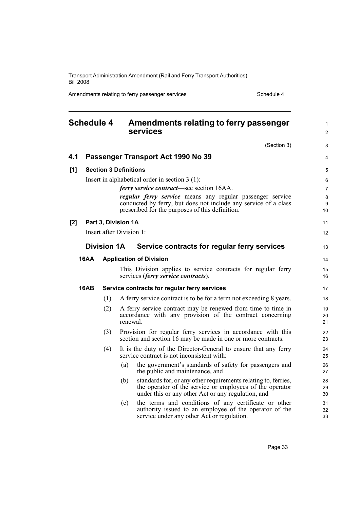Amendments relating to ferry passenger services Schedule 4

<span id="page-44-0"></span>

| <b>Schedule 4</b> |             |                    | Amendments relating to ferry passenger<br>services                                                                                                                                      |                |
|-------------------|-------------|--------------------|-----------------------------------------------------------------------------------------------------------------------------------------------------------------------------------------|----------------|
|                   |             |                    | (Section 3)                                                                                                                                                                             | 3              |
| 4.1               |             |                    | Passenger Transport Act 1990 No 39                                                                                                                                                      | 4              |
| [1]               |             |                    | <b>Section 3 Definitions</b>                                                                                                                                                            | 5              |
|                   |             |                    | Insert in alphabetical order in section $3(1)$ :                                                                                                                                        | 6              |
|                   |             |                    | <i>ferry service contract</i> —see section 16AA.                                                                                                                                        | 7              |
|                   |             |                    | regular ferry service means any regular passenger service<br>conducted by ferry, but does not include any service of a class<br>prescribed for the purposes of this definition.         | 8<br>9<br>10   |
| [2]               |             |                    | Part 3, Division 1A                                                                                                                                                                     | 11             |
|                   |             |                    | Insert after Division 1:                                                                                                                                                                | 12             |
|                   |             | <b>Division 1A</b> | Service contracts for regular ferry services                                                                                                                                            | 13             |
|                   |             |                    |                                                                                                                                                                                         |                |
|                   | <b>16AA</b> |                    | <b>Application of Division</b>                                                                                                                                                          | 14             |
|                   |             |                    | This Division applies to service contracts for regular ferry<br>services (ferry service contracts).                                                                                     | 15<br>16       |
|                   | <b>16AB</b> |                    | Service contracts for regular ferry services                                                                                                                                            | 17             |
|                   |             | (1)                | A ferry service contract is to be for a term not exceeding 8 years.                                                                                                                     | 18             |
|                   |             | (2)                | A ferry service contract may be renewed from time to time in<br>accordance with any provision of the contract concerning<br>renewal.                                                    | 19<br>20<br>21 |
|                   |             | (3)                | Provision for regular ferry services in accordance with this<br>section and section 16 may be made in one or more contracts.                                                            | 22<br>23       |
|                   |             | (4)                | It is the duty of the Director-General to ensure that any ferry<br>service contract is not inconsistent with:                                                                           | 24<br>25       |
|                   |             |                    | the government's standards of safety for passengers and<br>(a)<br>the public and maintenance, and                                                                                       | 26<br>27       |
|                   |             |                    | standards for, or any other requirements relating to, ferries,<br>(b)<br>the operator of the service or employees of the operator<br>under this or any other Act or any regulation, and | 28<br>29<br>30 |
|                   |             |                    | the terms and conditions of any certificate or other<br>(c)<br>authority issued to an employee of the operator of the<br>service under any other Act or regulation.                     | 31<br>32<br>33 |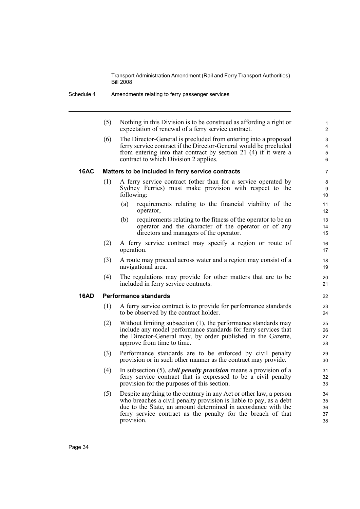(5) Nothing in this Division is to be construed as affording a right or expectation of renewal of a ferry service contract.

(6) The Director-General is precluded from entering into a proposed ferry service contract if the Director-General would be precluded from entering into that contract by section 21 (4) if it were a contract to which Division 2 applies.

### **16AC Matters to be included in ferry service contracts**

- (1) A ferry service contract (other than for a service operated by Sydney Ferries) must make provision with respect to the following:
	- (a) requirements relating to the financial viability of the operator,
	- (b) requirements relating to the fitness of the operator to be an operator and the character of the operator or of any directors and managers of the operator.
- (2) A ferry service contract may specify a region or route of operation.
- (3) A route may proceed across water and a region may consist of a navigational area.
- (4) The regulations may provide for other matters that are to be included in ferry service contracts.

### **16AD Performance standards**

- (1) A ferry service contract is to provide for performance standards to be observed by the contract holder.
- (2) Without limiting subsection (1), the performance standards may include any model performance standards for ferry services that the Director-General may, by order published in the Gazette, approve from time to time.
- (3) Performance standards are to be enforced by civil penalty provision or in such other manner as the contract may provide.
- (4) In subsection (5), *civil penalty provision* means a provision of a ferry service contract that is expressed to be a civil penalty provision for the purposes of this section.
- (5) Despite anything to the contrary in any Act or other law, a person who breaches a civil penalty provision is liable to pay, as a debt due to the State, an amount determined in accordance with the ferry service contract as the penalty for the breach of that provision.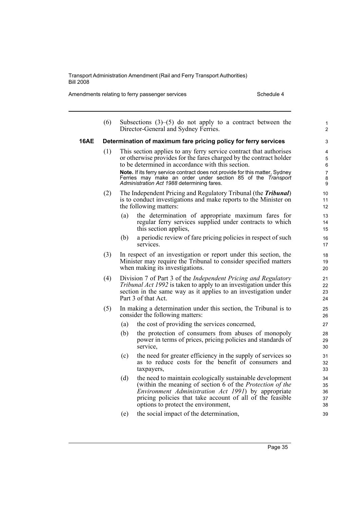Amendments relating to ferry passenger services Schedule 4

|      | (6) |     | Subsections $(3)$ – $(5)$ do not apply to a contract between the<br>Director-General and Sydney Ferries.                                                                                                                                                                                         | $\mathbf{1}$<br>$\overline{2}$ |
|------|-----|-----|--------------------------------------------------------------------------------------------------------------------------------------------------------------------------------------------------------------------------------------------------------------------------------------------------|--------------------------------|
| 16AE |     |     | Determination of maximum fare pricing policy for ferry services                                                                                                                                                                                                                                  | 3                              |
|      | (1) |     | This section applies to any ferry service contract that authorises<br>or otherwise provides for the fares charged by the contract holder<br>to be determined in accordance with this section.                                                                                                    | 4<br>5<br>6                    |
|      |     |     | Note. If its ferry service contract does not provide for this matter, Sydney<br>Ferries may make an order under section 85 of the Transport<br>Administration Act 1988 determining fares.                                                                                                        | $\overline{7}$<br>8<br>9       |
|      | (2) |     | The Independent Pricing and Regulatory Tribunal (the <i>Tribunal</i> )<br>is to conduct investigations and make reports to the Minister on<br>the following matters:                                                                                                                             | 10<br>11<br>$12 \overline{ }$  |
|      |     | (a) | the determination of appropriate maximum fares for<br>regular ferry services supplied under contracts to which<br>this section applies,                                                                                                                                                          | 13<br>14<br>15                 |
|      |     | (b) | a periodic review of fare pricing policies in respect of such<br>services.                                                                                                                                                                                                                       | 16<br>17                       |
|      | (3) |     | In respect of an investigation or report under this section, the<br>Minister may require the Tribunal to consider specified matters<br>when making its investigations.                                                                                                                           | 18<br>19<br>20                 |
|      | (4) |     | Division 7 of Part 3 of the <i>Independent Pricing and Regulatory</i><br><i>Tribunal Act 1992</i> is taken to apply to an investigation under this<br>section in the same way as it applies to an investigation under<br>Part 3 of that Act.                                                     | 21<br>22<br>23<br>24           |
|      | (5) |     | In making a determination under this section, the Tribunal is to<br>consider the following matters:                                                                                                                                                                                              | 25<br>26                       |
|      |     | (a) | the cost of providing the services concerned,                                                                                                                                                                                                                                                    | 27                             |
|      |     | (b) | the protection of consumers from abuses of monopoly<br>power in terms of prices, pricing policies and standards of<br>service,                                                                                                                                                                   | 28<br>29<br>30                 |
|      |     | (c) | the need for greater efficiency in the supply of services so<br>as to reduce costs for the benefit of consumers and<br>taxpayers,                                                                                                                                                                | 31<br>32<br>33                 |
|      |     | (d) | the need to maintain ecologically sustainable development<br>(within the meaning of section 6 of the <i>Protection of the</i><br><i>Environment Administration Act 1991</i> ) by appropriate<br>pricing policies that take account of all of the feasible<br>options to protect the environment, | 34<br>35<br>36<br>37<br>38     |
|      |     | (e) | the social impact of the determination,                                                                                                                                                                                                                                                          | 39                             |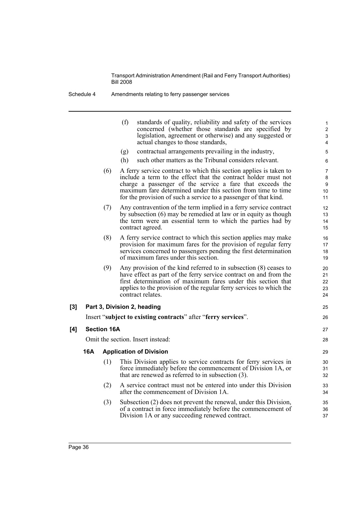|     |     |                    | (f)<br>standards of quality, reliability and safety of the services<br>concerned (whether those standards are specified by<br>legislation, agreement or otherwise) and any suggested or<br>actual changes to those standards,                                                                                                         | 1<br>$\overline{c}$<br>$\ensuremath{\mathsf{3}}$<br>4 |
|-----|-----|--------------------|---------------------------------------------------------------------------------------------------------------------------------------------------------------------------------------------------------------------------------------------------------------------------------------------------------------------------------------|-------------------------------------------------------|
|     |     |                    | contractual arrangements prevailing in the industry,<br>(g)                                                                                                                                                                                                                                                                           | 5                                                     |
|     |     |                    | (h)<br>such other matters as the Tribunal considers relevant.                                                                                                                                                                                                                                                                         | 6                                                     |
|     |     | (6)                | A ferry service contract to which this section applies is taken to<br>include a term to the effect that the contract holder must not<br>charge a passenger of the service a fare that exceeds the<br>maximum fare determined under this section from time to time<br>for the provision of such a service to a passenger of that kind. | $\overline{7}$<br>8<br>9<br>10<br>11                  |
|     |     | (7)                | Any contravention of the term implied in a ferry service contract<br>by subsection (6) may be remedied at law or in equity as though<br>the term were an essential term to which the parties had by<br>contract agreed.                                                                                                               | 12<br>13<br>14<br>15                                  |
|     |     | (8)                | A ferry service contract to which this section applies may make<br>provision for maximum fares for the provision of regular ferry<br>services concerned to passengers pending the first determination<br>of maximum fares under this section.                                                                                         | 16<br>17<br>18<br>19                                  |
|     |     | (9)                | Any provision of the kind referred to in subsection $(8)$ ceases to<br>have effect as part of the ferry service contract on and from the<br>first determination of maximum fares under this section that<br>applies to the provision of the regular ferry services to which the<br>contract relates.                                  | 20<br>21<br>22<br>23<br>24                            |
| [3] |     |                    | Part 3, Division 2, heading                                                                                                                                                                                                                                                                                                           | 25                                                    |
|     |     |                    | Insert "subject to existing contracts" after "ferry services".                                                                                                                                                                                                                                                                        | 26                                                    |
| [4] |     | <b>Section 16A</b> |                                                                                                                                                                                                                                                                                                                                       | 27                                                    |
|     |     |                    | Omit the section. Insert instead:                                                                                                                                                                                                                                                                                                     | 28                                                    |
|     | 16A |                    | <b>Application of Division</b>                                                                                                                                                                                                                                                                                                        | 29                                                    |
|     |     | (1)                | This Division applies to service contracts for ferry services in<br>force immediately before the commencement of Division 1A, or<br>that are renewed as referred to in subsection $(3)$ .                                                                                                                                             | 30<br>31<br>32                                        |
|     |     | (2)                | A service contract must not be entered into under this Division<br>after the commencement of Division 1A.                                                                                                                                                                                                                             | 33<br>34                                              |
|     |     | (3)                | Subsection (2) does not prevent the renewal, under this Division,<br>of a contract in force immediately before the commencement of<br>Division 1A or any succeeding renewed contract.                                                                                                                                                 | 35<br>36<br>37                                        |
|     |     |                    |                                                                                                                                                                                                                                                                                                                                       |                                                       |

 $[4]$